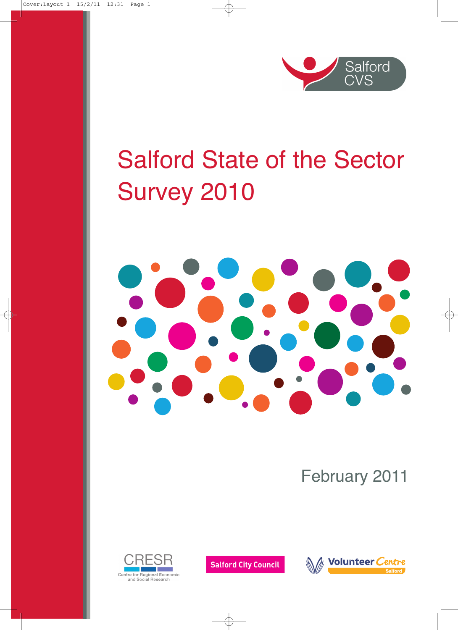

# Salford State of the Sector Survey 2010



February 2011



**Salford City Council** 

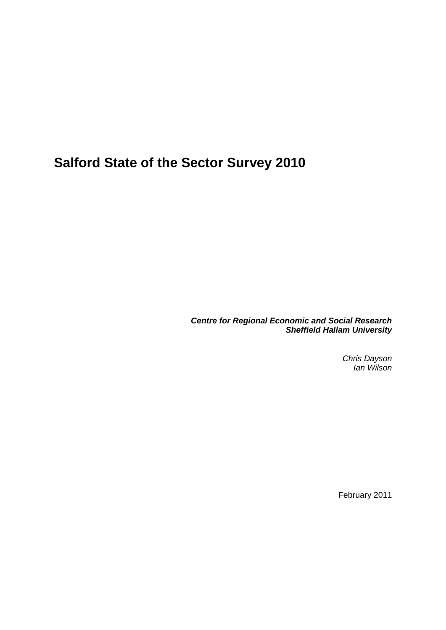**Salford State of the Sector Survey 2010**

*Centre for Regional Economic and Social Research Sheffield Hallam University*

> *Chris Dayson Ian Wilson*

February 2011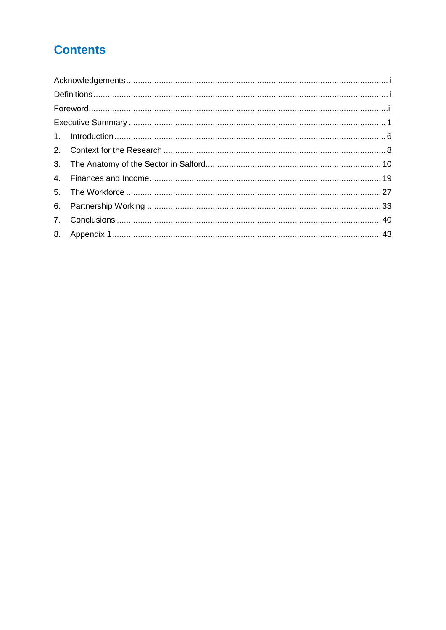# **Contents**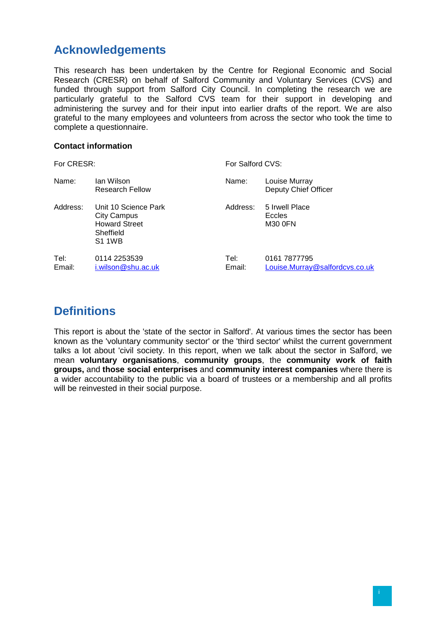# <span id="page-3-0"></span>**Acknowledgements**

This research has been undertaken by the Centre for Regional Economic and Social Research (CRESR) on behalf of Salford Community and Voluntary Services (CVS) and funded through support from Salford City Council. In completing the research we are particularly grateful to the Salford CVS team for their support in developing and administering the survey and for their input into earlier drafts of the report. We are also grateful to the many employees and volunteers from across the sector who took the time to complete a questionnaire.

#### **Contact information**

| For CRESR:     |                                                                                                  | For Salford CVS: |                                                |  |
|----------------|--------------------------------------------------------------------------------------------------|------------------|------------------------------------------------|--|
| Name:          | Ian Wilson<br>Research Fellow                                                                    | Name:            | Louise Murray<br>Deputy Chief Officer          |  |
| Address:       | Unit 10 Science Park<br><b>City Campus</b><br><b>Howard Street</b><br>Sheffield<br><b>S1 1WB</b> | Address:         | 5 Irwell Place<br>Eccles<br>M30 0FN            |  |
| Tel:<br>Email: | 0114 2253539<br>i.wilson@shu.ac.uk                                                               | Tel:<br>Email:   | 0161 7877795<br>Louise.Murray@salfordcvs.co.uk |  |

# <span id="page-3-1"></span>**Definitions**

This report is about the 'state of the sector in Salford'. At various times the sector has been known as the 'voluntary community sector' or the 'third sector' whilst the current government talks a lot about 'civil society. In this report, when we talk about the sector in Salford, we mean **voluntary organisations**, **community groups**, the **community work of faith groups,** and **those social enterprises** and **community interest companies** where there is a wider accountability to the public via a board of trustees or a membership and all profits will be reinvested in their social purpose.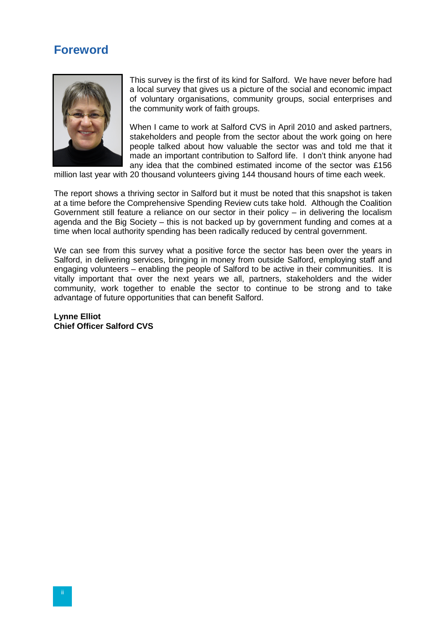# <span id="page-4-0"></span>**Foreword**



This survey is the first of its kind for Salford. We have never before had a local survey that gives us a picture of the social and economic impact of voluntary organisations, community groups, social enterprises and the community work of faith groups.

When I came to work at Salford CVS in April 2010 and asked partners, stakeholders and people from the sector about the work going on here people talked about how valuable the sector was and told me that it made an important contribution to Salford life. I don't think anyone had any idea that the combined estimated income of the sector was £156

million last year with 20 thousand volunteers giving 144 thousand hours of time each week.

The report shows a thriving sector in Salford but it must be noted that this snapshot is taken at a time before the Comprehensive Spending Review cuts take hold. Although the Coalition Government still feature a reliance on our sector in their policy – in delivering the localism agenda and the Big Society – this is not backed up by government funding and comes at a time when local authority spending has been radically reduced by central government.

We can see from this survey what a positive force the sector has been over the years in Salford, in delivering services, bringing in money from outside Salford, employing staff and engaging volunteers – enabling the people of Salford to be active in their communities. It is vitally important that over the next years we all, partners, stakeholders and the wider community, work together to enable the sector to continue to be strong and to take advantage of future opportunities that can benefit Salford.

**Lynne Elliot Chief Officer Salford CVS**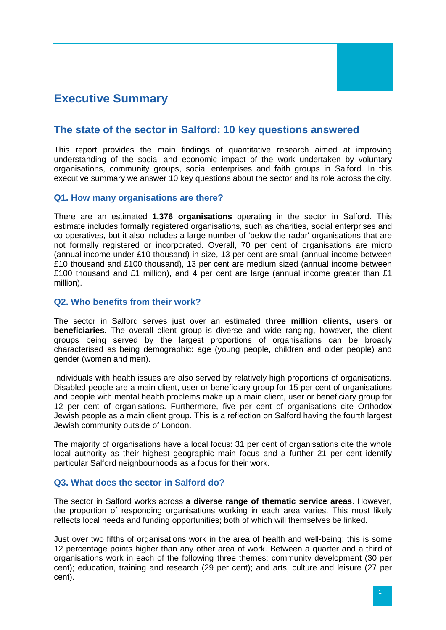# <span id="page-5-0"></span>**Executive Summary**

# **The state of the sector in Salford: 10 key questions answered**

This report provides the main findings of quantitative research aimed at improving understanding of the social and economic impact of the work undertaken by voluntary organisations, community groups, social enterprises and faith groups in Salford. In this executive summary we answer 10 key questions about the sector and its role across the city.

## **Q1. How many organisations are there?**

There are an estimated **1,376 organisations** operating in the sector in Salford. This estimate includes formally registered organisations, such as charities, social enterprises and co-operatives, but it also includes a large number of 'below the radar' organisations that are not formally registered or incorporated. Overall, 70 per cent of organisations are micro (annual income under £10 thousand) in size, 13 per cent are small (annual income between £10 thousand and £100 thousand), 13 per cent are medium sized (annual income between £100 thousand and £1 million), and 4 per cent are large (annual income greater than  $£1$ million).

## **Q2. Who benefits from their work?**

The sector in Salford serves just over an estimated **three million clients, users or beneficiaries**. The overall client group is diverse and wide ranging, however, the client groups being served by the largest proportions of organisations can be broadly characterised as being demographic: age (young people, children and older people) and gender (women and men).

Individuals with health issues are also served by relatively high proportions of organisations. Disabled people are a main client, user or beneficiary group for 15 per cent of organisations and people with mental health problems make up a main client, user or beneficiary group for 12 per cent of organisations. Furthermore, five per cent of organisations cite Orthodox Jewish people as a main client group. This is a reflection on Salford having the fourth largest Jewish community outside of London.

The majority of organisations have a local focus: 31 per cent of organisations cite the whole local authority as their highest geographic main focus and a further 21 per cent identify particular Salford neighbourhoods as a focus for their work.

# **Q3. What does the sector in Salford do?**

The sector in Salford works across **a diverse range of thematic service areas**. However, the proportion of responding organisations working in each area varies. This most likely reflects local needs and funding opportunities; both of which will themselves be linked.

Just over two fifths of organisations work in the area of health and well-being; this is some 12 percentage points higher than any other area of work. Between a quarter and a third of organisations work in each of the following three themes: community development (30 per cent); education, training and research (29 per cent); and arts, culture and leisure (27 per cent).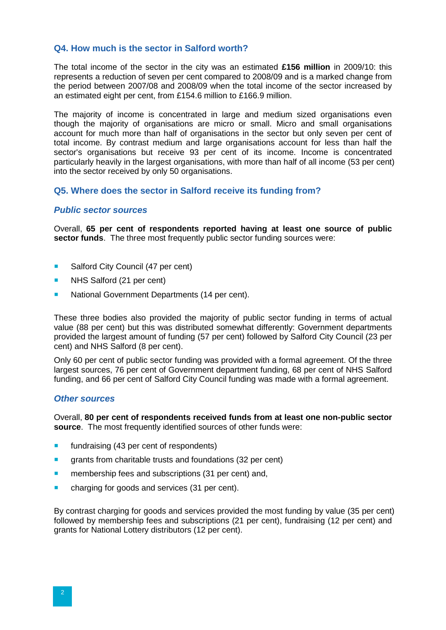#### **Q4. How much is the sector in Salford worth?**

The total income of the sector in the city was an estimated **£156 million** in 2009/10: this represents a reduction of seven per cent compared to 2008/09 and is a marked change from the period between 2007/08 and 2008/09 when the total income of the sector increased by an estimated eight per cent, from £154.6 million to £166.9 million.

The majority of income is concentrated in large and medium sized organisations even though the majority of organisations are micro or small. Micro and small organisations account for much more than half of organisations in the sector but only seven per cent of total income. By contrast medium and large organisations account for less than half the sector's organisations but receive 93 per cent of its income. Income is concentrated particularly heavily in the largest organisations, with more than half of all income (53 per cent) into the sector received by only 50 organisations.

## **Q5. Where does the sector in Salford receive its funding from?**

#### *Public sector sources*

Overall, **65 per cent of respondents reported having at least one source of public sector funds**. The three most frequently public sector funding sources were:

- Salford City Council (47 per cent)
- **NHS Salford (21 per cent)**
- **National Government Departments (14 per cent).**

These three bodies also provided the majority of public sector funding in terms of actual value (88 per cent) but this was distributed somewhat differently: Government departments provided the largest amount of funding (57 per cent) followed by Salford City Council (23 per cent) and NHS Salford (8 per cent).

Only 60 per cent of public sector funding was provided with a formal agreement. Of the three largest sources, 76 per cent of Government department funding, 68 per cent of NHS Salford funding, and 66 per cent of Salford City Council funding was made with a formal agreement.

#### *Other sources*

Overall, **80 per cent of respondents received funds from at least one non-public sector source**. The most frequently identified sources of other funds were:

- **fundraising (43 per cent of respondents)**
- **quants from charitable trusts and foundations (32 per cent)**
- **n** membership fees and subscriptions (31 per cent) and,
- charging for goods and services (31 per cent).

By contrast charging for goods and services provided the most funding by value (35 per cent) followed by membership fees and subscriptions (21 per cent), fundraising (12 per cent) and grants for National Lottery distributors (12 per cent).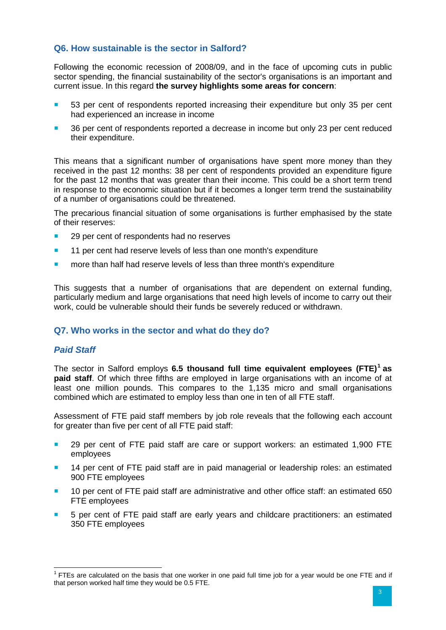# **Q6. How sustainable is the sector in Salford?**

Following the economic recession of 2008/09, and in the face of upcoming cuts in public sector spending, the financial sustainability of the sector's organisations is an important and current issue. In this regard **the survey highlights some areas for concern**:

- 53 per cent of respondents reported increasing their expenditure but only 35 per cent had experienced an increase in income
- 36 per cent of respondents reported a decrease in income but only 23 per cent reduced their expenditure.

This means that a significant number of organisations have spent more money than they received in the past 12 months: 38 per cent of respondents provided an expenditure figure for the past 12 months that was greater than their income. This could be a short term trend in response to the economic situation but if it becomes a longer term trend the sustainability of a number of organisations could be threatened.

The precarious financial situation of some organisations is further emphasised by the state of their reserves:

- 29 per cent of respondents had no reserves
- **11 per cent had reserve levels of less than one month's expenditure**
- **numore than half had reserve levels of less than three month's expenditure**

This suggests that a number of organisations that are dependent on external funding, particularly medium and large organisations that need high levels of income to carry out their work, could be vulnerable should their funds be severely reduced or withdrawn.

# **Q7. Who works in the sector and what do they do?**

#### *Paid Staff*

The sector in Salford employs **6.5 thousand full time equivalent employees (FTE)<sup>1</sup> as paid staff**. Of which three fifths are employed in large organisations with an income of at least one million pounds. This compares to the 1,135 micro and small organisations combined which are estimated to employ less than one in ten of all FTE staff.

Assessment of FTE paid staff members by job role reveals that the following each account for greater than five per cent of all FTE paid staff:

- **29 per cent of FTE paid staff are care or support workers: an estimated 1,900 FTE** employees
- **14 per cent of FTE paid staff are in paid managerial or leadership roles: an estimated** 900 FTE employees
- 10 per cent of FTE paid staff are administrative and other office staff: an estimated 650 FTE employees
- 5 per cent of FTE paid staff are early years and childcare practitioners: an estimated 350 FTE employees

<span id="page-7-0"></span> $1$  FTEs are calculated on the basis that one worker in one paid full time job for a year would be one FTE and if that person worked half time they would be 0.5 FTE.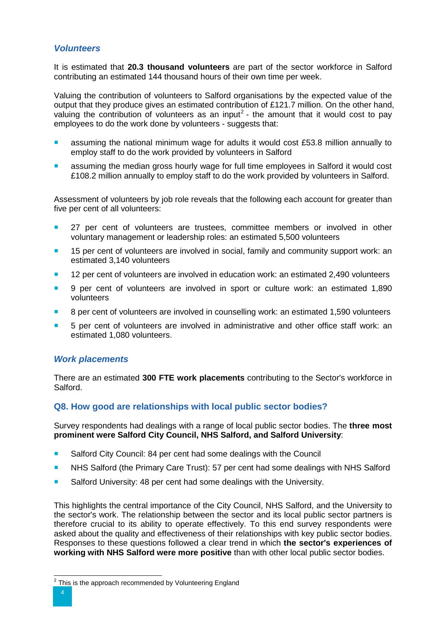## *Volunteers*

It is estimated that **20.3 thousand volunteers** are part of the sector workforce in Salford contributing an estimated 144 thousand hours of their own time per week.

Valuing the contribution of volunteers to Salford organisations by the expected value of the output that they produce gives an estimated contribution of £121.7 million. On the other hand, valuing the contribution of volunteers as an input<sup>[2](#page-7-0)</sup> - the amount that it would cost to pay employees to do the work done by volunteers - suggests that:

- assuming the national minimum wage for adults it would cost £53.8 million annually to employ staff to do the work provided by volunteers in Salford
- assuming the median gross hourly wage for full time employees in Salford it would cost £108.2 million annually to employ staff to do the work provided by volunteers in Salford.

Assessment of volunteers by job role reveals that the following each account for greater than five per cent of all volunteers:

- 27 per cent of volunteers are trustees, committee members or involved in other voluntary management or leadership roles: an estimated 5,500 volunteers
- **15 per cent of volunteers are involved in social, family and community support work: an** estimated 3,140 volunteers
- 12 per cent of volunteers are involved in education work: an estimated 2,490 volunteers
- 9 per cent of volunteers are involved in sport or culture work: an estimated 1,890 volunteers
- 8 per cent of volunteers are involved in counselling work: an estimated 1,590 volunteers
- **5** per cent of volunteers are involved in administrative and other office staff work: an estimated 1,080 volunteers.

# *Work placements*

There are an estimated **300 FTE work placements** contributing to the Sector's workforce in Salford.

# **Q8. How good are relationships with local public sector bodies?**

Survey respondents had dealings with a range of local public sector bodies. The **three most prominent were Salford City Council, NHS Salford, and Salford University**:

- Salford City Council: 84 per cent had some dealings with the Council
- **NHS Salford (the Primary Care Trust): 57 per cent had some dealings with NHS Salford**
- Salford University: 48 per cent had some dealings with the University.

This highlights the central importance of the City Council, NHS Salford, and the University to the sector's work. The relationship between the sector and its local public sector partners is therefore crucial to its ability to operate effectively. To this end survey respondents were asked about the quality and effectiveness of their relationships with key public sector bodies. Responses to these questions followed a clear trend in which **the sector's experiences of working with NHS Salford were more positive** than with other local public sector bodies.

<span id="page-8-0"></span> $2$  This is the approach recommended by Volunteering England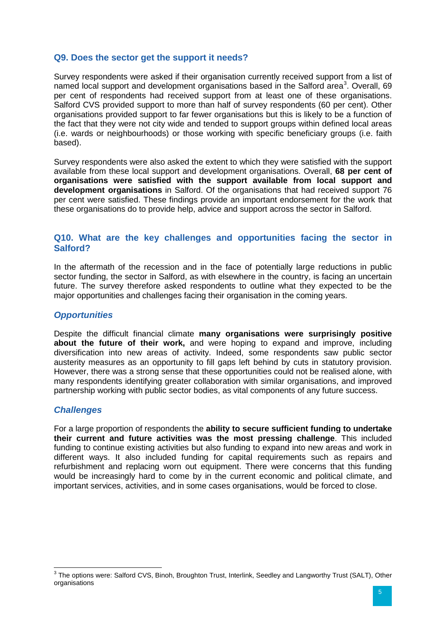## **Q9. Does the sector get the support it needs?**

Survey respondents were asked if their organisation currently received support from a list of named local support and development organisations based in the Salford area<sup>[3](#page-8-0)</sup>. Overall, 69 per cent of respondents had received support from at least one of these organisations. Salford CVS provided support to more than half of survey respondents (60 per cent). Other organisations provided support to far fewer organisations but this is likely to be a function of the fact that they were not city wide and tended to support groups within defined local areas (i.e. wards or neighbourhoods) or those working with specific beneficiary groups (i.e. faith based).

Survey respondents were also asked the extent to which they were satisfied with the support available from these local support and development organisations. Overall, **68 per cent of organisations were satisfied with the support available from local support and development organisations** in Salford. Of the organisations that had received support 76 per cent were satisfied. These findings provide an important endorsement for the work that these organisations do to provide help, advice and support across the sector in Salford.

#### **Q10. What are the key challenges and opportunities facing the sector in Salford?**

In the aftermath of the recession and in the face of potentially large reductions in public sector funding, the sector in Salford, as with elsewhere in the country, is facing an uncertain future. The survey therefore asked respondents to outline what they expected to be the major opportunities and challenges facing their organisation in the coming years.

#### *Opportunities*

Despite the difficult financial climate **many organisations were surprisingly positive about the future of their work,** and were hoping to expand and improve, including diversification into new areas of activity. Indeed, some respondents saw public sector austerity measures as an opportunity to fill gaps left behind by cuts in statutory provision. However, there was a strong sense that these opportunities could not be realised alone, with many respondents identifying greater collaboration with similar organisations, and improved partnership working with public sector bodies, as vital components of any future success.

#### *Challenges*

For a large proportion of respondents the **ability to secure sufficient funding to undertake their current and future activities was the most pressing challenge**. This included funding to continue existing activities but also funding to expand into new areas and work in different ways. It also included funding for capital requirements such as repairs and refurbishment and replacing worn out equipment. There were concerns that this funding would be increasingly hard to come by in the current economic and political climate, and important services, activities, and in some cases organisations, would be forced to close.

<span id="page-9-0"></span><sup>&</sup>lt;sup>3</sup> The options were: Salford CVS, Binoh, Broughton Trust, Interlink, Seedley and Langworthy Trust (SALT), Other organisations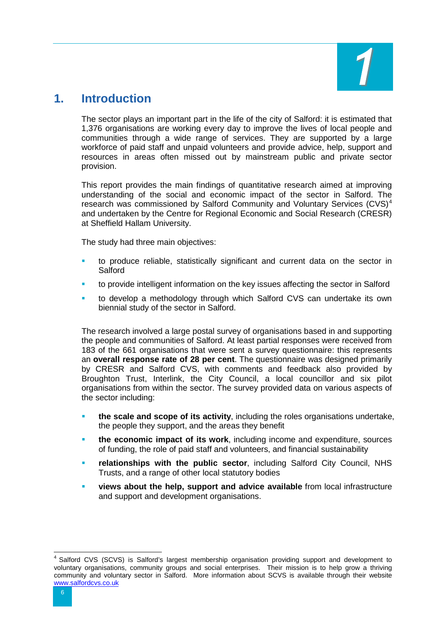

# <span id="page-10-0"></span>**1. Introduction**

The sector plays an important part in the life of the city of Salford: it is estimated that 1,376 organisations are working every day to improve the lives of local people and communities through a wide range of services. They are supported by a large workforce of paid staff and unpaid volunteers and provide advice, help, support and resources in areas often missed out by mainstream public and private sector provision.

This report provides the main findings of quantitative research aimed at improving understanding of the social and economic impact of the sector in Salford. The research was commissioned by Salford Community and Voluntary Services (CVS)<sup>[4](#page-9-0)</sup> and undertaken by the Centre for Regional Economic and Social Research (CRESR) at Sheffield Hallam University.

The study had three main objectives:

- to produce reliable, statistically significant and current data on the sector in **Salford**
- to provide intelligent information on the key issues affecting the sector in Salford
- to develop a methodology through which Salford CVS can undertake its own biennial study of the sector in Salford.

The research involved a large postal survey of organisations based in and supporting the people and communities of Salford. At least partial responses were received from 183 of the 661 organisations that were sent a survey questionnaire: this represents an **overall response rate of 28 per cent**. The questionnaire was designed primarily by CRESR and Salford CVS, with comments and feedback also provided by Broughton Trust, Interlink, the City Council, a local councillor and six pilot organisations from within the sector. The survey provided data on various aspects of the sector including:

- **the scale and scope of its activity**, including the roles organisations undertake, the people they support, and the areas they benefit
- **the economic impact of its work**, including income and expenditure, sources of funding, the role of paid staff and volunteers, and financial sustainability
- **relationships with the public sector**, including Salford City Council, NHS Trusts, and a range of other local statutory bodies
- **views about the help, support and advice available** from local infrastructure and support and development organisations.

<span id="page-10-1"></span> <sup>4</sup> Salford CVS (SCVS) is Salford's largest membership organisation providing support and development to voluntary organisations, community groups and social enterprises. Their mission is to help grow a thriving community and voluntary sector in Salford. More information about SCVS is available through their website [www.salfordcvs.co.uk](http://www.salfordcvs.co.uk/)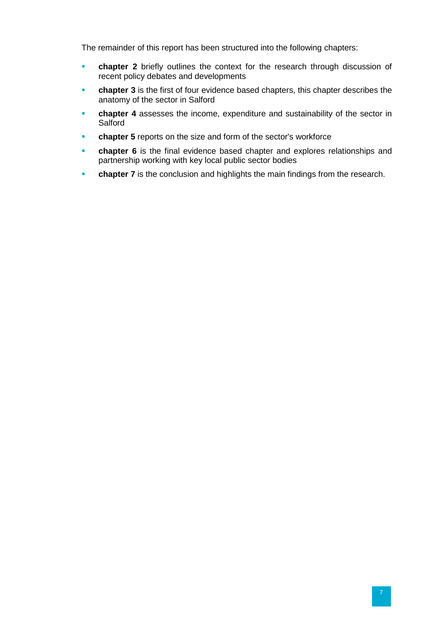The remainder of this report has been structured into the following chapters:

- **chapter 2** briefly outlines the context for the research through discussion of recent policy debates and developments
- **chapter 3** is the first of four evidence based chapters, this chapter describes the anatomy of the sector in Salford
- **chapter 4** assesses the income, expenditure and sustainability of the sector in **Salford**
- **chapter 5** reports on the size and form of the sector's workforce
- **chapter 6** is the final evidence based chapter and explores relationships and partnership working with key local public sector bodies
- **chapter 7** is the conclusion and highlights the main findings from the research.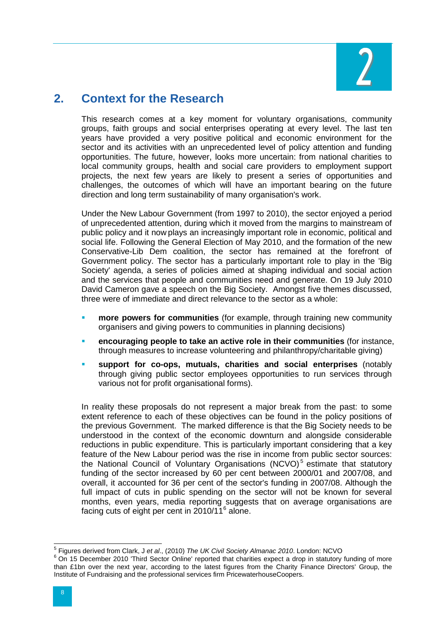

# <span id="page-12-0"></span>**2. Context for the Research**

This research comes at a key moment for voluntary organisations, community groups, faith groups and social enterprises operating at every level. The last ten years have provided a very positive political and economic environment for the sector and its activities with an unprecedented level of policy attention and funding opportunities. The future, however, looks more uncertain: from national charities to local community groups, health and social care providers to employment support projects, the next few years are likely to present a series of opportunities and challenges, the outcomes of which will have an important bearing on the future direction and long term sustainability of many organisation's work.

Under the New Labour Government (from 1997 to 2010), the sector enjoyed a period of unprecedented attention, during which it moved from the margins to mainstream of public policy and it now plays an increasingly important role in economic, political and social life. Following the General Election of May 2010, and the formation of the new Conservative-Lib Dem coalition, the sector has remained at the forefront of Government policy. The sector has a particularly important role to play in the 'Big Society' agenda, a series of policies aimed at shaping individual and social action and the services that people and communities need and generate. On 19 July 2010 David Cameron gave a speech on the Big Society. Amongst five themes discussed, three were of immediate and direct relevance to the sector as a whole:

- **more powers for communities** (for example, through training new community organisers and giving powers to communities in planning decisions)
- **encouraging people to take an active role in their communities** (for instance, through measures to increase volunteering and philanthropy/charitable giving)
- **support for co-ops, mutuals, charities and social enterprises** (notably through giving public sector employees opportunities to run services through various not for profit organisational forms).

In reality these proposals do not represent a major break from the past: to some extent reference to each of these objectives can be found in the policy positions of the previous Government. The marked difference is that the Big Society needs to be understood in the context of the economic downturn and alongside considerable reductions in public expenditure. This is particularly important considering that a key feature of the New Labour period was the rise in income from public sector sources: the National Council of Voluntary Organisations (NCVO) $<sup>5</sup>$  $<sup>5</sup>$  $<sup>5</sup>$  estimate that statutory</sup> funding of the sector increased by 60 per cent between 2000/01 and 2007/08, and overall, it accounted for 36 per cent of the sector's funding in 2007/08. Although the full impact of cuts in public spending on the sector will not be known for several months, even years, media reporting suggests that on average organisations are facing cuts of eight per cent in  $2010/11<sup>6</sup>$  $2010/11<sup>6</sup>$  $2010/11<sup>6</sup>$  alone.

<span id="page-12-2"></span><span id="page-12-1"></span><sup>&</sup>lt;sup>5</sup> Figures derived from Clark, J *et al.*, (2010) *The UK Civil Society Almanac 2010*. London: NCVO 6 On 15 December 2010 'Third Sector Online' reported that charities expect a drop in statutory funding of more than £1bn over the next year, according to the latest figures from the Charity Finance Directors' Group, the Institute of Fundraising and the professional services firm PricewaterhouseCoopers.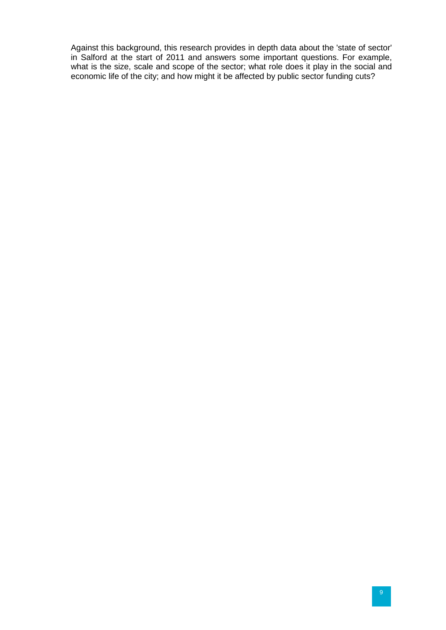Against this background, this research provides in depth data about the 'state of sector' in Salford at the start of 2011 and answers some important questions. For example, what is the size, scale and scope of the sector; what role does it play in the social and economic life of the city; and how might it be affected by public sector funding cuts?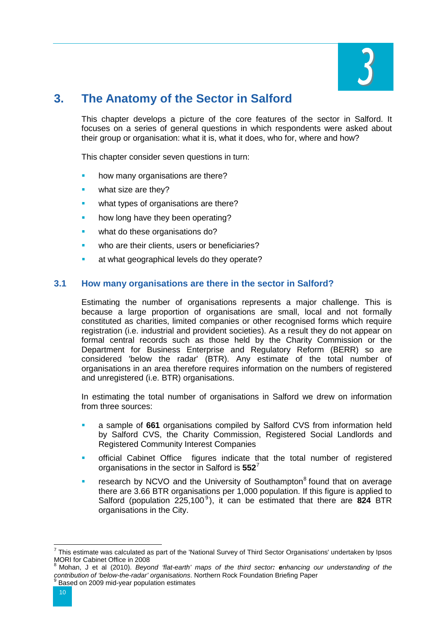

# <span id="page-14-0"></span>**3. The Anatomy of the Sector in Salford**

This chapter develops a picture of the core features of the sector in Salford. It focuses on a series of general questions in which respondents were asked about their group or organisation: what it is, what it does, who for, where and how?

This chapter consider seven questions in turn:

- how many organisations are there?
- what size are they?
- what types of organisations are there?
- how long have they been operating?
- what do these organisations do?
- who are their clients, users or beneficiaries?
- at what geographical levels do they operate?

## **3.1 How many organisations are there in the sector in Salford?**

Estimating the number of organisations represents a major challenge. This is because a large proportion of organisations are small, local and not formally constituted as charities, limited companies or other recognised forms which require registration (i.e. industrial and provident societies). As a result they do not appear on formal central records such as those held by the Charity Commission or the Department for Business Enterprise and Regulatory Reform (BERR) so are considered 'below the radar' (BTR). Any estimate of the total number of organisations in an area therefore requires information on the numbers of registered and unregistered (i.e. BTR) organisations.

In estimating the total number of organisations in Salford we drew on information from three sources:

- a sample of **661** organisations compiled by Salford CVS from information held by Salford CVS, the Charity Commission, Registered Social Landlords and Registered Community Interest Companies
- official Cabinet Office figures indicate that the total number of registered organisations in the sector in Salford is **552**[7](#page-12-2)
- research by NCVO and the University of Southampton $<sup>8</sup>$  $<sup>8</sup>$  $<sup>8</sup>$  found that on average</sup> there are 3.66 BTR organisations per 1,000 population. If this figure is applied to Salford (population 225,100<sup>[9](#page-14-1)</sup>), it can be estimated that there are 824 BTR organisations in the City.

<span id="page-14-2"></span><span id="page-14-1"></span> <sup>7</sup> This estimate was calculated as part of the 'National Survey of Third Sector Organisations' undertaken by Ipsos MORI for Cabinet Office in 2008

<sup>8</sup> Mohan, J et al (2010). *Beyond 'flat-earth' maps of the third sector: enhancing our understanding of the contribution of 'below-the-radar' organisations*. Northern Rock Foundation Briefing Paper <sup>9</sup> Based on 2009 mid-year population estimates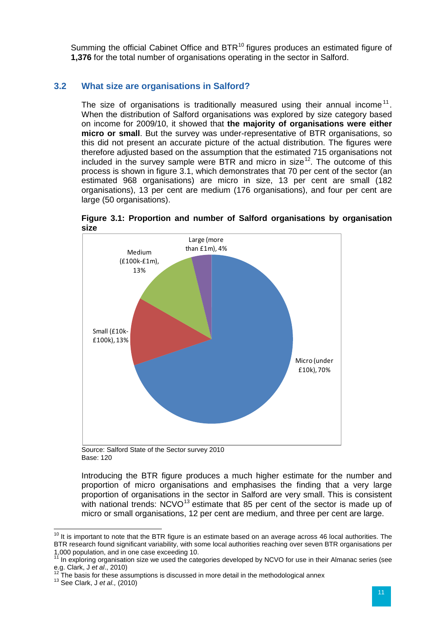Summing the official Cabinet Office and BTR<sup>[10](#page-14-2)</sup> figures produces an estimated figure of **1,376** for the total number of organisations operating in the sector in Salford.

# **3.2 What size are organisations in Salford?**

The size of organisations is traditionally measured using their annual income<sup>[11](#page-15-0)</sup>. When the distribution of Salford organisations was explored by size category based on income for 2009/10, it showed that **the majority of organisations were either micro or small**. But the survey was under-representative of BTR organisations, so this did not present an accurate picture of the actual distribution. The figures were therefore adjusted based on the assumption that the estimated 715 organisations not included in the survey sample were BTR and micro in size<sup>[12](#page-15-0)</sup>. The outcome of this process is shown in figure 3.1, which demonstrates that 70 per cent of the sector (an estimated 968 organisations) are micro in size, 13 per cent are small (182 organisations), 13 per cent are medium (176 organisations), and four per cent are large (50 organisations).



**Figure 3.1: Proportion and number of Salford organisations by organisation size** 

Source: Salford State of the Sector survey 2010 Base: 120

Introducing the BTR figure produces a much higher estimate for the number and proportion of micro organisations and emphasises the finding that a very large proportion of organisations in the sector in Salford are very small. This is consistent with national trends:  $NCVO^{13}$  $NCVO^{13}$  $NCVO^{13}$  estimate that 85 per cent of the sector is made up of micro or small organisations, 12 per cent are medium, and three per cent are large.

<span id="page-15-0"></span> $10$  It is important to note that the BTR figure is an estimate based on an average across 46 local authorities. The BTR research found significant variability, with some local authorities reaching over seven BTR organisations per 1,000 population, and in one case exceeding 10.

<span id="page-15-1"></span><sup>&</sup>lt;sup>11</sup> In exploring organisation size we used the categories developed by NCVO for use in their Almanac series (see e.g. Clark, J *et al.*, 2010)<br><sup>12</sup> The basis for these assumptions is discussed in more detail in the methodological annex<br><sup>13</sup> See Clark, J *et al.*, (2010)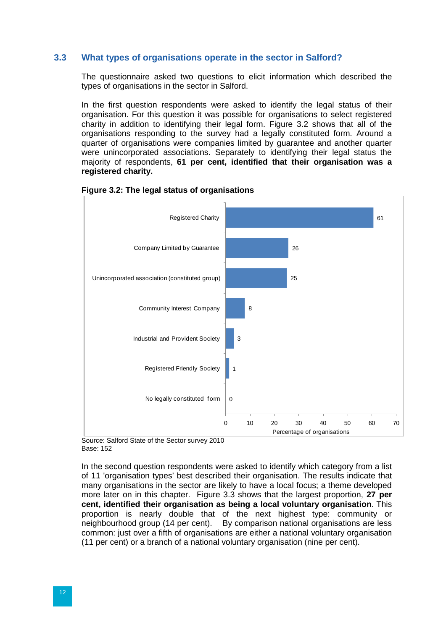#### **3.3 What types of organisations operate in the sector in Salford?**

The questionnaire asked two questions to elicit information which described the types of organisations in the sector in Salford.

In the first question respondents were asked to identify the legal status of their organisation. For this question it was possible for organisations to select registered charity in addition to identifying their legal form. Figure 3.2 shows that all of the organisations responding to the survey had a legally constituted form. Around a quarter of organisations were companies limited by guarantee and another quarter were unincorporated associations. Separately to identifying their legal status the majority of respondents, **61 per cent, identified that their organisation was a registered charity.**



**Figure 3.2: The legal status of organisations**

Source: Salford State of the Sector survey 2010 Base: 152

In the second question respondents were asked to identify which category from a list of 11 'organisation types' best described their organisation. The results indicate that many organisations in the sector are likely to have a local focus; a theme developed more later on in this chapter. Figure 3.3 shows that the largest proportion, **27 per cent, identified their organisation as being a local voluntary organisation**. This proportion is nearly double that of the next highest type: community or neighbourhood group (14 per cent). By comparison national organisations are less By comparison national organisations are less. common: just over a fifth of organisations are either a national voluntary organisation (11 per cent) or a branch of a national voluntary organisation (nine per cent).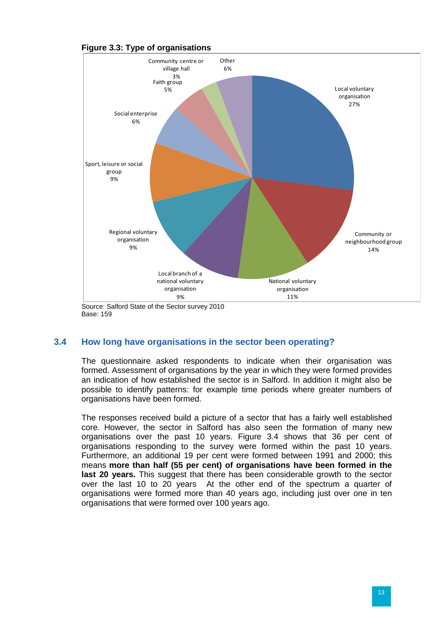

## **Figure 3.3: Type of organisations**

Source: Salford State of the Sector survey 2010 Base: 159

#### **3.4 How long have organisations in the sector been operating?**

The questionnaire asked respondents to indicate when their organisation was formed. Assessment of organisations by the year in which they were formed provides an indication of how established the sector is in Salford. In addition it might also be possible to identify patterns: for example time periods where greater numbers of organisations have been formed.

The responses received build a picture of a sector that has a fairly well established core. However, the sector in Salford has also seen the formation of many new organisations over the past 10 years. Figure 3.4 shows that 36 per cent of organisations responding to the survey were formed within the past 10 years. Furthermore, an additional 19 per cent were formed between 1991 and 2000; this means **more than half (55 per cent) of organisations have been formed in the last 20 years.** This suggest that there has been considerable growth to the sector over the last 10 to 20 years At the other end of the spectrum a quarter of organisations were formed more than 40 years ago, including just over one in ten organisations that were formed over 100 years ago.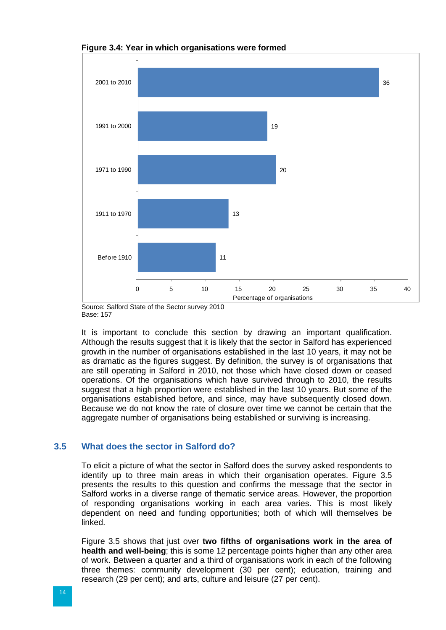

**Figure 3.4: Year in which organisations were formed**

Base: 157

It is important to conclude this section by drawing an important qualification. Although the results suggest that it is likely that the sector in Salford has experienced growth in the number of organisations established in the last 10 years, it may not be as dramatic as the figures suggest. By definition, the survey is of organisations that are still operating in Salford in 2010, not those which have closed down or ceased operations. Of the organisations which have survived through to 2010, the results suggest that a high proportion were established in the last 10 years. But some of the organisations established before, and since, may have subsequently closed down. Because we do not know the rate of closure over time we cannot be certain that the aggregate number of organisations being established or surviving is increasing.

# **3.5 What does the sector in Salford do?**

To elicit a picture of what the sector in Salford does the survey asked respondents to identify up to three main areas in which their organisation operates. Figure 3.5 presents the results to this question and confirms the message that the sector in Salford works in a diverse range of thematic service areas. However, the proportion of responding organisations working in each area varies. This is most likely dependent on need and funding opportunities; both of which will themselves be linked.

Figure 3.5 shows that just over **two fifths of organisations work in the area of health and well-being**; this is some 12 percentage points higher than any other area of work. Between a quarter and a third of organisations work in each of the following three themes: community development (30 per cent); education, training and research (29 per cent); and arts, culture and leisure (27 per cent).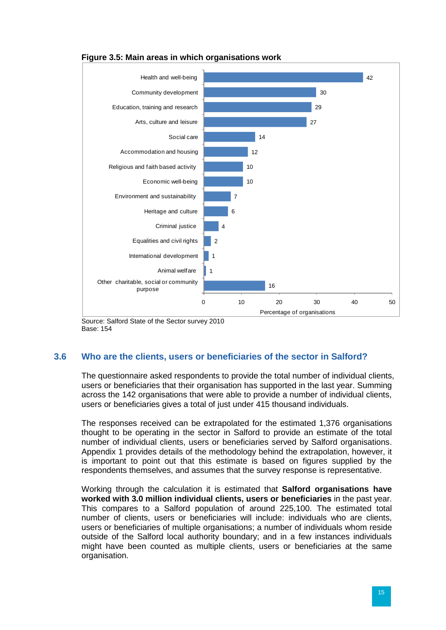

#### **Figure 3.5: Main areas in which organisations work**

Source: Salford State of the Sector survey 2010 Base: 154

# **3.6 Who are the clients, users or beneficiaries of the sector in Salford?**

The questionnaire asked respondents to provide the total number of individual clients, users or beneficiaries that their organisation has supported in the last year. Summing across the 142 organisations that were able to provide a number of individual clients, users or beneficiaries gives a total of just under 415 thousand individuals.

The responses received can be extrapolated for the estimated 1,376 organisations thought to be operating in the sector in Salford to provide an estimate of the total number of individual clients, users or beneficiaries served by Salford organisations. Appendix 1 provides details of the methodology behind the extrapolation, however, it is important to point out that this estimate is based on figures supplied by the respondents themselves, and assumes that the survey response is representative.

Working through the calculation it is estimated that **Salford organisations have worked with 3.0 million individual clients, users or beneficiaries** in the past year. This compares to a Salford population of around 225,100. The estimated total number of clients, users or beneficiaries will include: individuals who are clients, users or beneficiaries of multiple organisations; a number of individuals whom reside outside of the Salford local authority boundary; and in a few instances individuals might have been counted as multiple clients, users or beneficiaries at the same organisation.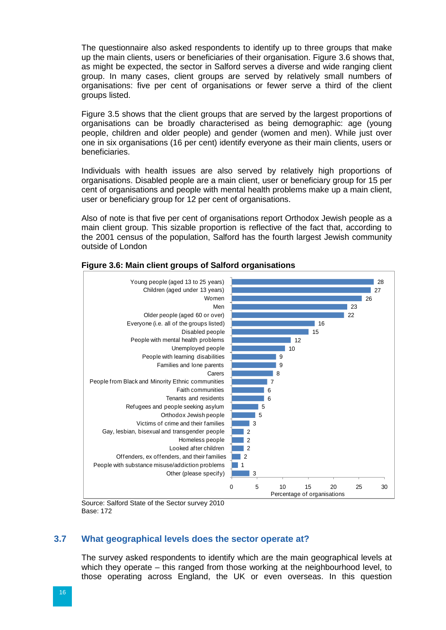The questionnaire also asked respondents to identify up to three groups that make up the main clients, users or beneficiaries of their organisation. Figure 3.6 shows that, as might be expected, the sector in Salford serves a diverse and wide ranging client group. In many cases, client groups are served by relatively small numbers of organisations: five per cent of organisations or fewer serve a third of the client groups listed.

Figure 3.5 shows that the client groups that are served by the largest proportions of organisations can be broadly characterised as being demographic: age (young people, children and older people) and gender (women and men). While just over one in six organisations (16 per cent) identify everyone as their main clients, users or beneficiaries.

Individuals with health issues are also served by relatively high proportions of organisations. Disabled people are a main client, user or beneficiary group for 15 per cent of organisations and people with mental health problems make up a main client, user or beneficiary group for 12 per cent of organisations.

Also of note is that five per cent of organisations report Orthodox Jewish people as a main client group. This sizable proportion is reflective of the fact that, according to the 2001 census of the population, Salford has the fourth largest Jewish community outside of London



## **Figure 3.6: Main client groups of Salford organisations**

Source: Salford State of the Sector survey 2010 Base: 172

#### **3.7 What geographical levels does the sector operate at?**

The survey asked respondents to identify which are the main geographical levels at which they operate – this ranged from those working at the neighbourhood level, to those operating across England, the UK or even overseas. In this question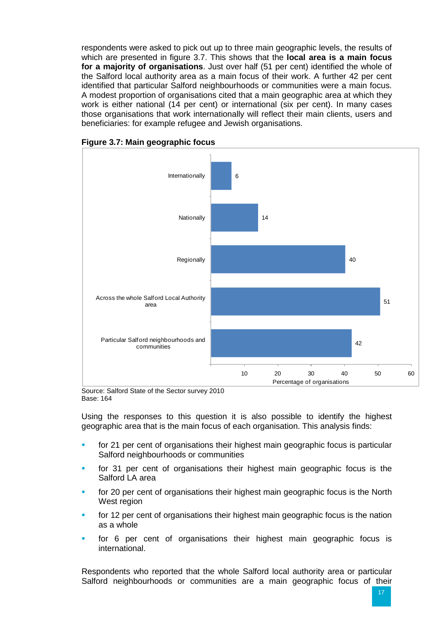respondents were asked to pick out up to three main geographic levels, the results of which are presented in figure 3.7. This shows that the **local area is a main focus for a majority of organisations**. Just over half (51 per cent) identified the whole of the Salford local authority area as a main focus of their work. A further 42 per cent identified that particular Salford neighbourhoods or communities were a main focus. A modest proportion of organisations cited that a main geographic area at which they work is either national (14 per cent) or international (six per cent). In many cases those organisations that work internationally will reflect their main clients, users and beneficiaries: for example refugee and Jewish organisations.



**Figure 3.7: Main geographic focus**

Source: Salford State of the Sector survey 2010 Base: 164

Using the responses to this question it is also possible to identify the highest geographic area that is the main focus of each organisation. This analysis finds:

- for 21 per cent of organisations their highest main geographic focus is particular Salford neighbourhoods or communities
- for 31 per cent of organisations their highest main geographic focus is the Salford LA area
- for 20 per cent of organisations their highest main geographic focus is the North West region
- for 12 per cent of organisations their highest main geographic focus is the nation as a whole
- for 6 per cent of organisations their highest main geographic focus is international.

Respondents who reported that the whole Salford local authority area or particular Salford neighbourhoods or communities are a main geographic focus of their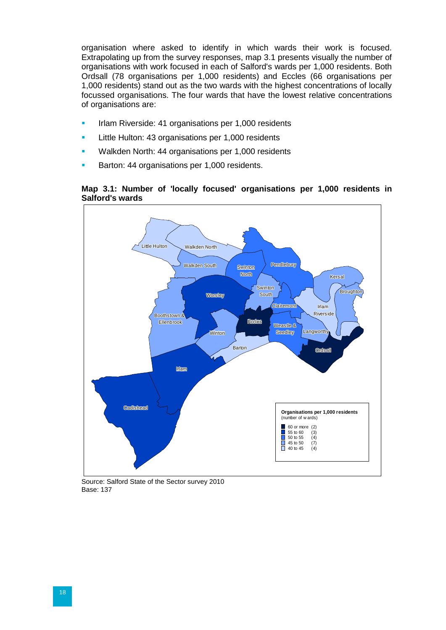organisation where asked to identify in which wards their work is focused. Extrapolating up from the survey responses, map 3.1 presents visually the number of organisations with work focused in each of Salford's wards per 1,000 residents. Both Ordsall (78 organisations per 1,000 residents) and Eccles (66 organisations per 1,000 residents) stand out as the two wards with the highest concentrations of locally focussed organisations. The four wards that have the lowest relative concentrations of organisations are:

- Irlam Riverside: 41 organisations per 1,000 residents
- **Little Hulton: 43 organisations per 1,000 residents**
- Walkden North: 44 organisations per 1,000 residents
- Barton: 44 organisations per 1,000 residents.





Source: Salford State of the Sector survey 2010 Base: 137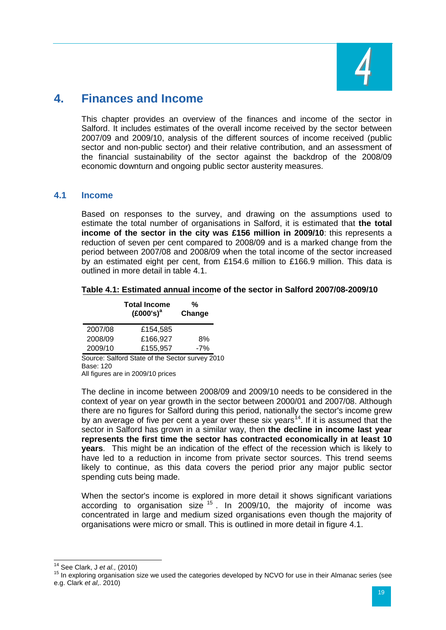

# <span id="page-23-0"></span>**4. Finances and Income**

This chapter provides an overview of the finances and income of the sector in Salford. It includes estimates of the overall income received by the sector between 2007/09 and 2009/10, analysis of the different sources of income received (public sector and non-public sector) and their relative contribution, and an assessment of the financial sustainability of the sector against the backdrop of the 2008/09 economic downturn and ongoing public sector austerity measures.

## **4.1 Income**

Based on responses to the survey, and drawing on the assumptions used to estimate the total number of organisations in Salford, it is estimated that **the total income of the sector in the city was £156 million in 2009/10**: this represents a reduction of seven per cent compared to 2008/09 and is a marked change from the period between 2007/08 and 2008/09 when the total income of the sector increased by an estimated eight per cent, from £154.6 million to £166.9 million. This data is outlined in more detail in table 4.1.

#### **Table 4.1: Estimated annual income of the sector in Salford 2007/08-2009/10**

**%** 

|         | Total Income<br>$(£000's)^a$ | 7ο<br>Change |  |
|---------|------------------------------|--------------|--|
| 2007/08 | £154.585                     |              |  |
| 2008/09 | £166.927                     | 8%           |  |
| 2009/10 | £155.957                     | -7%          |  |
|         | .                            |              |  |

**Total Income**

Source: Salford State of the Sector survey 2010 Base: 120 All figures are in 2009/10 prices

The decline in income between 2008/09 and 2009/10 needs to be considered in the context of year on year growth in the sector between 2000/01 and 2007/08. Although there are no figures for Salford during this period, nationally the sector's income grew by an average of five per cent a year over these six years<sup>[14](#page-15-1)</sup>. If it is assumed that the sector in Salford has grown in a similar way, then **the decline in income last year represents the first time the sector has contracted economically in at least 10 years**. This might be an indication of the effect of the recession which is likely to have led to a reduction in income from private sector sources. This trend seems likely to continue, as this data covers the period prior any major public sector spending cuts being made.

When the sector's income is explored in more detail it shows significant variations according to organisation size  $15$ . In 2009/10, the majority of income was concentrated in large and medium sized organisations even though the majority of organisations were micro or small. This is outlined in more detail in figure 4.1.

<span id="page-23-2"></span><span id="page-23-1"></span><sup>&</sup>lt;sup>14</sup> See Clark, J *et al.,* (2010)<br><sup>15</sup> In exploring organisation size we used the categories developed by NCVO for use in their Almanac series (see e.g. Clark *et al*,. 2010)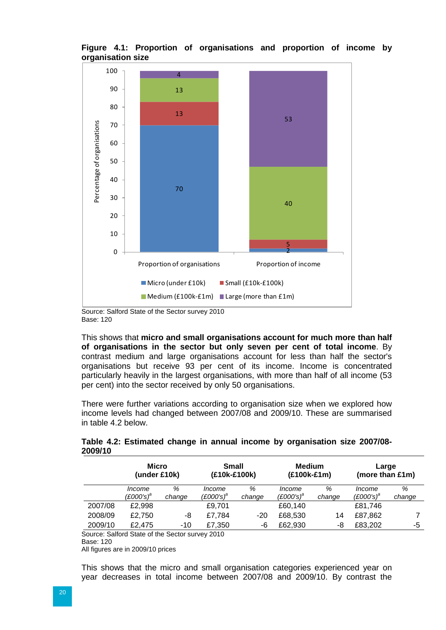

**Figure 4.1: Proportion of organisations and proportion of income by organisation size**

Source: Salford State of the Sector survey 2010 Base: 120

This shows that **micro and small organisations account for much more than half of organisations in the sector but only seven per cent of total income**. By contrast medium and large organisations account for less than half the sector's organisations but receive 93 per cent of its income. Income is concentrated particularly heavily in the largest organisations, with more than half of all income (53 per cent) into the sector received by only 50 organisations.

There were further variations according to organisation size when we explored how income levels had changed between 2007/08 and 2009/10. These are summarised in table 4.2 below.

|         | Micro<br>(under £10k)         |             | <b>Small</b><br>(£10k-£100k) |             | <b>Medium</b><br>(£100k-£1m) |             | Large<br>(more than £1m)      |             |
|---------|-------------------------------|-------------|------------------------------|-------------|------------------------------|-------------|-------------------------------|-------------|
|         | <i>Income</i><br>$(£000's)^a$ | ℅<br>change | Income<br>$(E000's)^a$       | %<br>change | Income<br>$(E000's)^a$       | %<br>change | <i>Income</i><br>$(£000's)^a$ | %<br>change |
| 2007/08 | £2,998                        |             | £9,701                       |             | £60,140                      |             | £81,746                       |             |
| 2008/09 | £2,750                        | -8          | £7,784                       | $-20$       | £68,530                      | 14          | £87,862                       |             |
| 2009/10 | £2.475                        | -10         | £7,350                       | -6          | £62,930                      | -8          | £83,202                       | -5          |

**Table 4.2: Estimated change in annual income by organisation size 2007/08- 2009/10**

Source: Salford State of the Sector survey 2010 Base: 120

All figures are in 2009/10 prices

This shows that the micro and small organisation categories experienced year on year decreases in total income between 2007/08 and 2009/10. By contrast the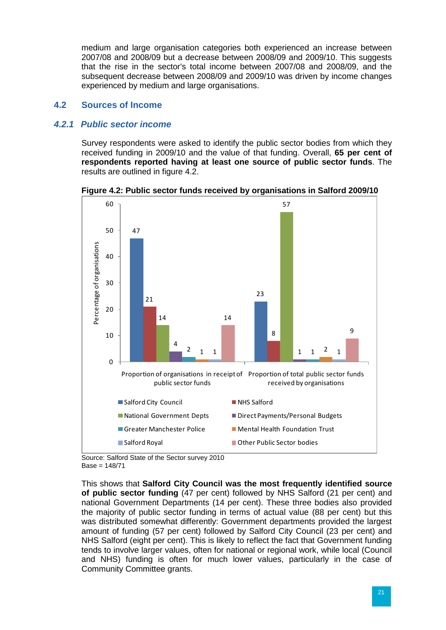medium and large organisation categories both experienced an increase between 2007/08 and 2008/09 but a decrease between 2008/09 and 2009/10. This suggests that the rise in the sector's total income between 2007/08 and 2008/09, and the subsequent decrease between 2008/09 and 2009/10 was driven by income changes experienced by medium and large organisations.

# **4.2 Sources of Income**

## *4.2.1 Public sector income*

Survey respondents were asked to identify the public sector bodies from which they received funding in 2009/10 and the value of that funding. Overall, **65 per cent of respondents reported having at least one source of public sector funds**. The results are outlined in figure 4.2.



**Figure 4.2: Public sector funds received by organisations in Salford 2009/10**

Source: Salford State of the Sector survey 2010 Base = 148/71

This shows that **Salford City Council was the most frequently identified source of public sector funding** (47 per cent) followed by NHS Salford (21 per cent) and national Government Departments (14 per cent). These three bodies also provided the majority of public sector funding in terms of actual value (88 per cent) but this was distributed somewhat differently: Government departments provided the largest amount of funding (57 per cent) followed by Salford City Council (23 per cent) and NHS Salford (eight per cent). This is likely to reflect the fact that Government funding tends to involve larger values, often for national or regional work, while local (Council and NHS) funding is often for much lower values, particularly in the case of Community Committee grants.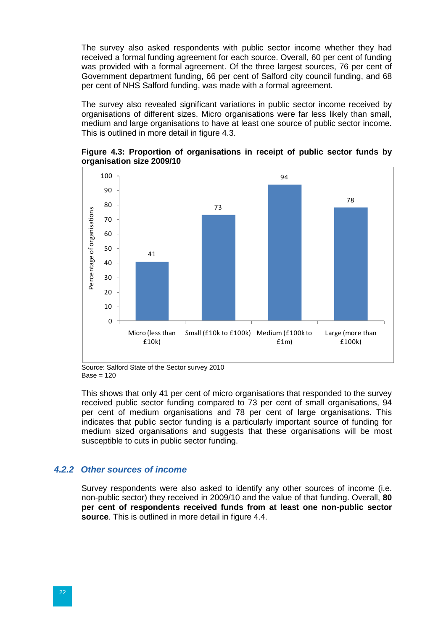The survey also asked respondents with public sector income whether they had received a formal funding agreement for each source. Overall, 60 per cent of funding was provided with a formal agreement. Of the three largest sources, 76 per cent of Government department funding, 66 per cent of Salford city council funding, and 68 per cent of NHS Salford funding, was made with a formal agreement.

The survey also revealed significant variations in public sector income received by organisations of different sizes. Micro organisations were far less likely than small, medium and large organisations to have at least one source of public sector income. This is outlined in more detail in figure 4.3.





Source: Salford State of the Sector survey 2010  $Base = 120$ 

This shows that only 41 per cent of micro organisations that responded to the survey received public sector funding compared to 73 per cent of small organisations, 94 per cent of medium organisations and 78 per cent of large organisations. This indicates that public sector funding is a particularly important source of funding for medium sized organisations and suggests that these organisations will be most susceptible to cuts in public sector funding.

#### *4.2.2 Other sources of income*

Survey respondents were also asked to identify any other sources of income (i.e. non-public sector) they received in 2009/10 and the value of that funding. Overall, **80 per cent of respondents received funds from at least one non-public sector source**. This is outlined in more detail in figure 4.4.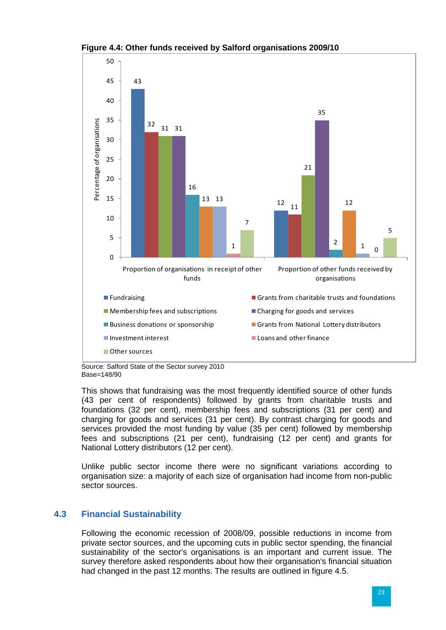

**Figure 4.4: Other funds received by Salford organisations 2009/10**

Source: Salford State of the Sector survey 2010 Base=148/90

This shows that fundraising was the most frequently identified source of other funds (43 per cent of respondents) followed by grants from charitable trusts and foundations (32 per cent), membership fees and subscriptions (31 per cent) and charging for goods and services (31 per cent). By contrast charging for goods and services provided the most funding by value (35 per cent) followed by membership fees and subscriptions (21 per cent), fundraising (12 per cent) and grants for National Lottery distributors (12 per cent).

Unlike public sector income there were no significant variations according to organisation size: a majority of each size of organisation had income from non-public sector sources.

# **4.3 Financial Sustainability**

Following the economic recession of 2008/09, possible reductions in income from private sector sources, and the upcoming cuts in public sector spending, the financial sustainability of the sector's organisations is an important and current issue. The survey therefore asked respondents about how their organisation's financial situation had changed in the past 12 months. The results are outlined in figure 4.5.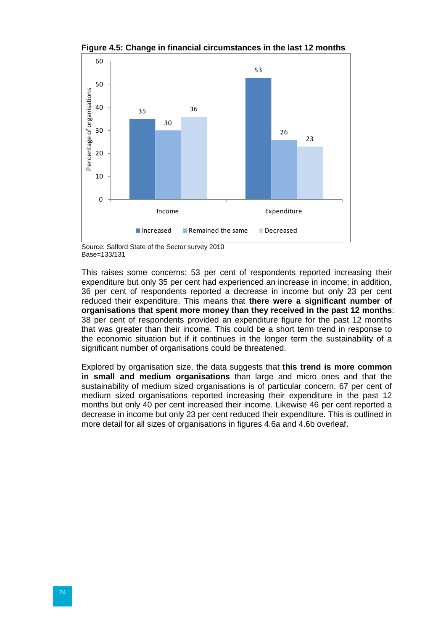

**Figure 4.5: Change in financial circumstances in the last 12 months**

Source: Salford State of the Sector survey 2010 Base=133/131

This raises some concerns: 53 per cent of respondents reported increasing their expenditure but only 35 per cent had experienced an increase in income; in addition, 36 per cent of respondents reported a decrease in income but only 23 per cent reduced their expenditure. This means that **there were a significant number of organisations that spent more money than they received in the past 12 months**: 38 per cent of respondents provided an expenditure figure for the past 12 months that was greater than their income. This could be a short term trend in response to the economic situation but if it continues in the longer term the sustainability of a significant number of organisations could be threatened.

Explored by organisation size, the data suggests that **this trend is more common in small and medium organisations** than large and micro ones and that the sustainability of medium sized organisations is of particular concern. 67 per cent of medium sized organisations reported increasing their expenditure in the past 12 months but only 40 per cent increased their income. Likewise 46 per cent reported a decrease in income but only 23 per cent reduced their expenditure. This is outlined in more detail for all sizes of organisations in figures 4.6a and 4.6b overleaf.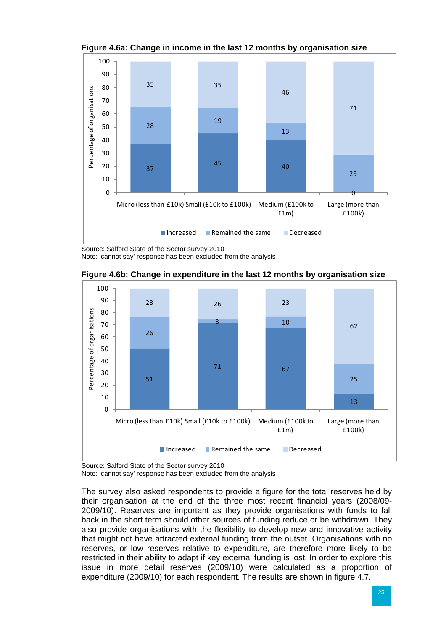

**Figure 4.6a: Change in income in the last 12 months by organisation size**

Source: Salford State of the Sector survey 2010

Note: 'cannot say' response has been excluded from the analysis



**Figure 4.6b: Change in expenditure in the last 12 months by organisation size**

Source: Salford State of the Sector survey 2010

Note: 'cannot say' response has been excluded from the analysis

The survey also asked respondents to provide a figure for the total reserves held by their organisation at the end of the three most recent financial years (2008/09- 2009/10). Reserves are important as they provide organisations with funds to fall back in the short term should other sources of funding reduce or be withdrawn. They also provide organisations with the flexibility to develop new and innovative activity that might not have attracted external funding from the outset. Organisations with no reserves, or low reserves relative to expenditure, are therefore more likely to be restricted in their ability to adapt if key external funding is lost. In order to explore this issue in more detail reserves (2009/10) were calculated as a proportion of expenditure (2009/10) for each respondent. The results are shown in figure 4.7.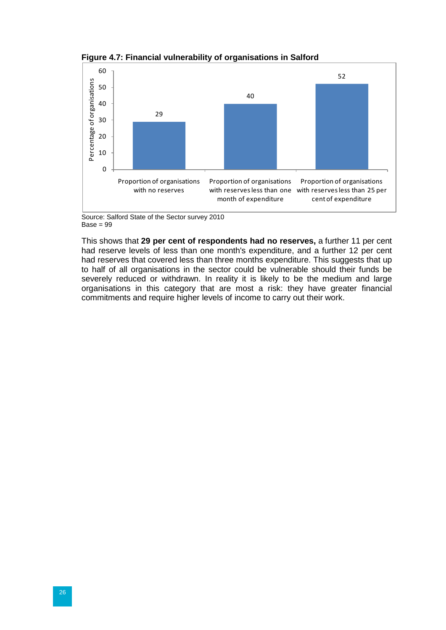



Source: Salford State of the Sector survey 2010  $Base = 99$ 

This shows that **29 per cent of respondents had no reserves,** a further 11 per cent had reserve levels of less than one month's expenditure, and a further 12 per cent had reserves that covered less than three months expenditure. This suggests that up to half of all organisations in the sector could be vulnerable should their funds be severely reduced or withdrawn. In reality it is likely to be the medium and large organisations in this category that are most a risk: they have greater financial commitments and require higher levels of income to carry out their work.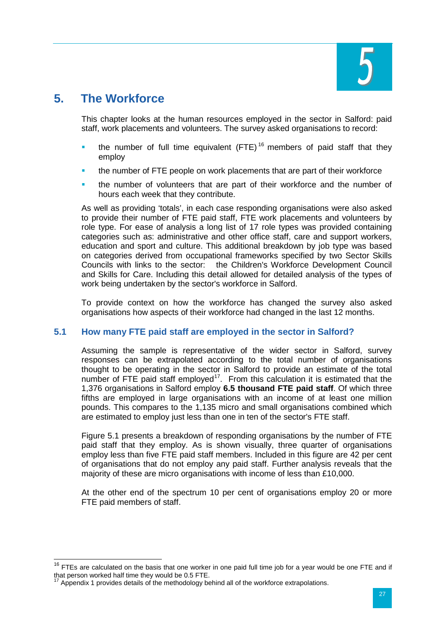

# <span id="page-31-0"></span>**5. The Workforce**

This chapter looks at the human resources employed in the sector in Salford: paid staff, work placements and volunteers. The survey asked organisations to record:

- the number of full time equivalent  $(FTE)^{16}$  $(FTE)^{16}$  $(FTE)^{16}$  members of paid staff that they employ
- the number of FTE people on work placements that are part of their workforce
- the number of volunteers that are part of their workforce and the number of hours each week that they contribute.

As well as providing 'totals', in each case responding organisations were also asked to provide their number of FTE paid staff, FTE work placements and volunteers by role type. For ease of analysis a long list of 17 role types was provided containing categories such as: administrative and other office staff, care and support workers, education and sport and culture. This additional breakdown by job type was based on categories derived from occupational frameworks specified by two Sector Skills Councils with links to the sector: the Children's Workforce Development Council and Skills for Care. Including this detail allowed for detailed analysis of the types of work being undertaken by the sector's workforce in Salford.

To provide context on how the workforce has changed the survey also asked organisations how aspects of their workforce had changed in the last 12 months.

# **5.1 How many FTE paid staff are employed in the sector in Salford?**

Assuming the sample is representative of the wider sector in Salford, survey responses can be extrapolated according to the total number of organisations thought to be operating in the sector in Salford to provide an estimate of the total number of FTE paid staff employed<sup>17</sup>. From this calculation it is estimated that the 1,376 organisations in Salford employ **6.5 thousand FTE paid staff**. Of which three fifths are employed in large organisations with an income of at least one million pounds. This compares to the 1,135 micro and small organisations combined which are estimated to employ just less than one in ten of the sector's FTE staff.

Figure 5.1 presents a breakdown of responding organisations by the number of FTE paid staff that they employ. As is shown visually, three quarter of organisations employ less than five FTE paid staff members. Included in this figure are 42 per cent of organisations that do not employ any paid staff. Further analysis reveals that the majority of these are micro organisations with income of less than £10,000.

At the other end of the spectrum 10 per cent of organisations employ 20 or more FTE paid members of staff.

<span id="page-31-2"></span> $16$  FTEs are calculated on the basis that one worker in one paid full time job for a year would be one FTE and if that person worked half time they would be 0.5 FTE.

<span id="page-31-1"></span><sup>&</sup>lt;sup>17</sup> Appendix 1 provides details of the methodology behind all of the workforce extrapolations.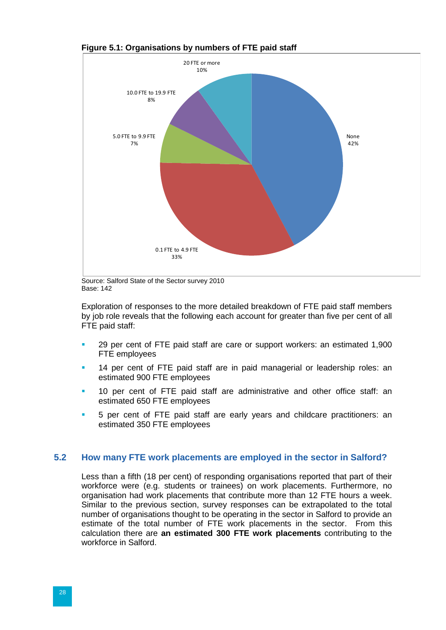

**Figure 5.1: Organisations by numbers of FTE paid staff** 

Source: Salford State of the Sector survey 2010 Base: 142

Exploration of responses to the more detailed breakdown of FTE paid staff members by job role reveals that the following each account for greater than five per cent of all FTE paid staff:

- 29 per cent of FTE paid staff are care or support workers: an estimated 1,900 FTE employees
- 14 per cent of FTE paid staff are in paid managerial or leadership roles: an estimated 900 FTE employees
- 10 per cent of FTE paid staff are administrative and other office staff: an estimated 650 FTE employees
- 5 per cent of FTE paid staff are early years and childcare practitioners: an estimated 350 FTE employees

#### **5.2 How many FTE work placements are employed in the sector in Salford?**

Less than a fifth (18 per cent) of responding organisations reported that part of their workforce were (e.g. students or trainees) on work placements. Furthermore, no organisation had work placements that contribute more than 12 FTE hours a week. Similar to the previous section, survey responses can be extrapolated to the total number of organisations thought to be operating in the sector in Salford to provide an estimate of the total number of FTE work placements in the sector. From this calculation there are **an estimated 300 FTE work placements** contributing to the workforce in Salford.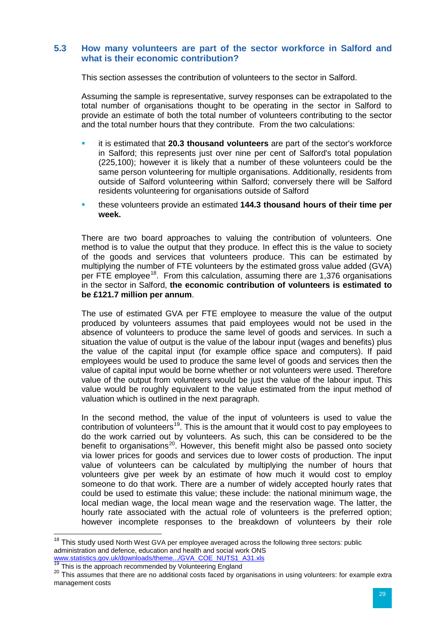#### **5.3 How many volunteers are part of the sector workforce in Salford and what is their economic contribution?**

This section assesses the contribution of volunteers to the sector in Salford.

Assuming the sample is representative, survey responses can be extrapolated to the total number of organisations thought to be operating in the sector in Salford to provide an estimate of both the total number of volunteers contributing to the sector and the total number hours that they contribute. From the two calculations:

- it is estimated that **20.3 thousand volunteers** are part of the sector's workforce in Salford; this represents just over nine per cent of Salford's total population (225,100); however it is likely that a number of these volunteers could be the same person volunteering for multiple organisations. Additionally, residents from outside of Salford volunteering within Salford; conversely there will be Salford residents volunteering for organisations outside of Salford
- these volunteers provide an estimated **144.3 thousand hours of their time per week.**

There are two board approaches to valuing the contribution of volunteers. One method is to value the output that they produce. In effect this is the value to society of the goods and services that volunteers produce. This can be estimated by multiplying the number of FTE volunteers by the estimated gross value added (GVA) per FTE employee<sup>18</sup>. From this calculation, assuming there are 1,376 organisations in the sector in Salford, **the economic contribution of volunteers is estimated to be £121.7 million per annum**.

The use of estimated GVA per FTE employee to measure the value of the output produced by volunteers assumes that paid employees would not be used in the absence of volunteers to produce the same level of goods and services. In such a situation the value of output is the value of the labour input (wages and benefits) plus the value of the capital input (for example office space and computers). If paid employees would be used to produce the same level of goods and services then the value of capital input would be borne whether or not volunteers were used. Therefore value of the output from volunteers would be just the value of the labour input. This value would be roughly equivalent to the value estimated from the input method of valuation which is outlined in the next paragraph.

In the second method, the value of the input of volunteers is used to value the contribution of volunteers<sup>[19](#page-33-0)</sup>. This is the amount that it would cost to pay employees to do the work carried out by volunteers. As such, this can be considered to be the benefit to organisations<sup>20</sup>. However, this benefit might also be passed onto society via lower prices for goods and services due to lower costs of production. The input value of volunteers can be calculated by multiplying the number of hours that volunteers give per week by an estimate of how much it would cost to employ someone to do that work. There are a number of widely accepted hourly rates that could be used to estimate this value; these include: the national minimum wage, the local median wage, the local mean wage and the reservation wage. The latter, the hourly rate associated with the actual role of volunteers is the preferred option; however incomplete responses to the breakdown of volunteers by their role

 $18$  This study used North West GVA per employee averaged across the following three sectors: public administration and defence, education and health and social work ONS [www.statistics.gov.uk/downloads/theme.../GVA\\_COE\\_NUTS1\\_A31.xls](http://www.statistics.gov.uk/downloads/theme.../GVA_COE_NUTS1_A31.xls)<br><sup>19</sup> This is the approach recommended by Volunteering England

<span id="page-33-2"></span><span id="page-33-1"></span><span id="page-33-0"></span><sup>&</sup>lt;sup>20</sup> This assumes that there are no additional costs faced by organisations in using volunteers: for example extra management costs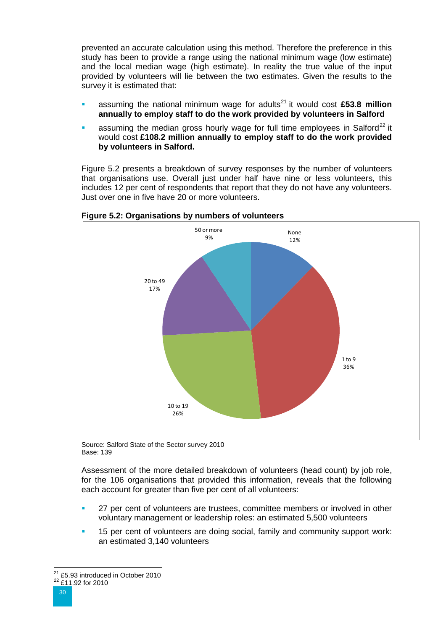prevented an accurate calculation using this method. Therefore the preference in this study has been to provide a range using the national minimum wage (low estimate) and the local median wage (high estimate). In reality the true value of the input provided by volunteers will lie between the two estimates. Given the results to the survey it is estimated that:

- assuming the national minimum wage for adults<sup>[21](#page-33-2)</sup> it would cost  $£53.8$  million **annually to employ staff to do the work provided by volunteers in Salford**
- assuming the median gross hourly wage for full time employees in Salford<sup>[22](#page-34-0)</sup> it would cost **£108.2 million annually to employ staff to do the work provided by volunteers in Salford.**

Figure 5.2 presents a breakdown of survey responses by the number of volunteers that organisations use. Overall just under half have nine or less volunteers, this includes 12 per cent of respondents that report that they do not have any volunteers. Just over one in five have 20 or more volunteers.



**Figure 5.2: Organisations by numbers of volunteers** 

Source: Salford State of the Sector survey 2010 Base: 139

Assessment of the more detailed breakdown of volunteers (head count) by job role, for the 106 organisations that provided this information, reveals that the following each account for greater than five per cent of all volunteers:

- 27 per cent of volunteers are trustees, committee members or involved in other voluntary management or leadership roles: an estimated 5,500 volunteers
- 15 per cent of volunteers are doing social, family and community support work: an estimated 3,140 volunteers

<span id="page-34-0"></span><sup>&</sup>lt;sup>21</sup> £5.93 introduced in October 2010<br> $\frac{^{22}$  £11.92 for 2010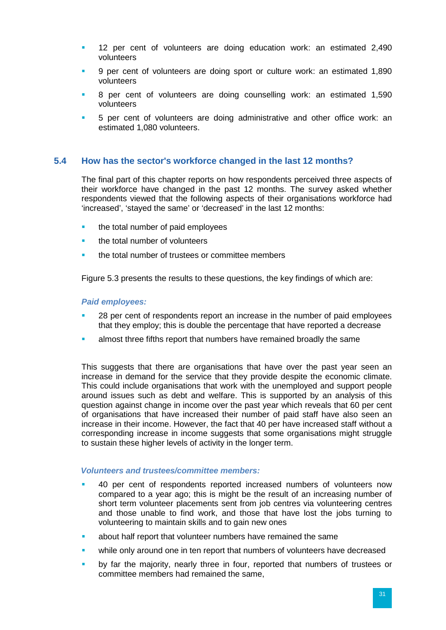- 12 per cent of volunteers are doing education work: an estimated 2,490 volunteers
- 9 per cent of volunteers are doing sport or culture work: an estimated 1,890 volunteers
- 8 per cent of volunteers are doing counselling work: an estimated 1,590 volunteers
- 5 per cent of volunteers are doing administrative and other office work: an estimated 1,080 volunteers.

#### **5.4 How has the sector's workforce changed in the last 12 months?**

The final part of this chapter reports on how respondents perceived three aspects of their workforce have changed in the past 12 months. The survey asked whether respondents viewed that the following aspects of their organisations workforce had 'increased', 'stayed the same' or 'decreased' in the last 12 months:

- the total number of paid employees
- **the total number of volunteers**
- the total number of trustees or committee members

Figure 5.3 presents the results to these questions, the key findings of which are:

#### *Paid employees:*

- 28 per cent of respondents report an increase in the number of paid employees that they employ; this is double the percentage that have reported a decrease
- almost three fifths report that numbers have remained broadly the same

This suggests that there are organisations that have over the past year seen an increase in demand for the service that they provide despite the economic climate. This could include organisations that work with the unemployed and support people around issues such as debt and welfare. This is supported by an analysis of this question against change in income over the past year which reveals that 60 per cent of organisations that have increased their number of paid staff have also seen an increase in their income. However, the fact that 40 per have increased staff without a corresponding increase in income suggests that some organisations might struggle to sustain these higher levels of activity in the longer term.

#### *Volunteers and trustees/committee members:*

- 40 per cent of respondents reported increased numbers of volunteers now compared to a year ago; this is might be the result of an increasing number of short term volunteer placements sent from job centres via volunteering centres and those unable to find work, and those that have lost the jobs turning to volunteering to maintain skills and to gain new ones
- about half report that volunteer numbers have remained the same
- while only around one in ten report that numbers of volunteers have decreased
- by far the majority, nearly three in four, reported that numbers of trustees or committee members had remained the same,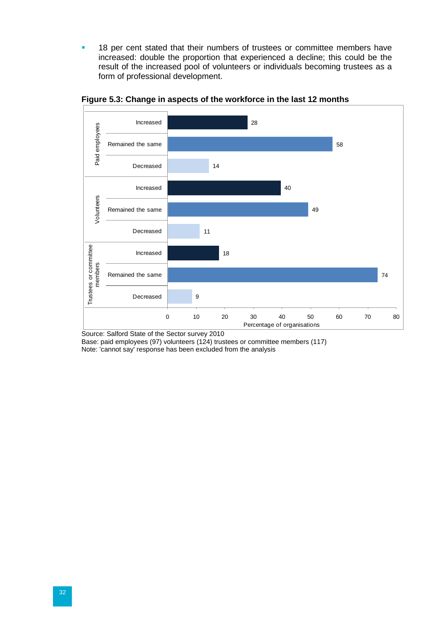<sup>1</sup> 18 per cent stated that their numbers of trustees or committee members have increased: double the proportion that experienced a decline; this could be the result of the increased pool of volunteers or individuals becoming trustees as a form of professional development.



**Figure 5.3: Change in aspects of the workforce in the last 12 months**

Source: Salford State of the Sector survey 2010

Base: paid employees (97) volunteers (124) trustees or committee members (117) Note: 'cannot say' response has been excluded from the analysis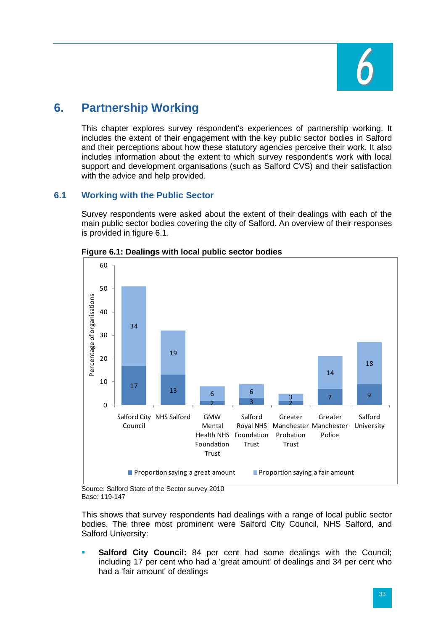

# <span id="page-37-0"></span>**6. Partnership Working**

This chapter explores survey respondent's experiences of partnership working. It includes the extent of their engagement with the key public sector bodies in Salford and their perceptions about how these statutory agencies perceive their work. It also includes information about the extent to which survey respondent's work with local support and development organisations (such as Salford CVS) and their satisfaction with the advice and help provided.

# **6.1 Working with the Public Sector**

Survey respondents were asked about the extent of their dealings with each of the main public sector bodies covering the city of Salford. An overview of their responses is provided in figure 6.1.



**Figure 6.1: Dealings with local public sector bodies**

Source: Salford State of the Sector survey 2010 Base: 119-147

This shows that survey respondents had dealings with a range of local public sector bodies. The three most prominent were Salford City Council, NHS Salford, and Salford University:

 **Salford City Council:** 84 per cent had some dealings with the Council; including 17 per cent who had a 'great amount' of dealings and 34 per cent who had a 'fair amount' of dealings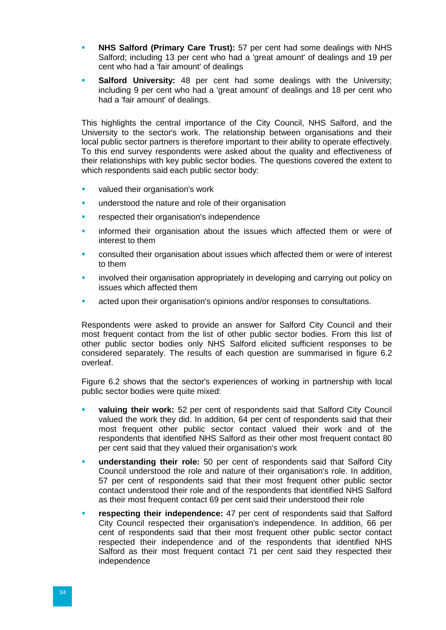- **NHS Salford (Primary Care Trust):** 57 per cent had some dealings with NHS Salford; including 13 per cent who had a 'great amount' of dealings and 19 per cent who had a 'fair amount' of dealings
- **Salford University:** 48 per cent had some dealings with the University; including 9 per cent who had a 'great amount' of dealings and 18 per cent who had a 'fair amount' of dealings.

This highlights the central importance of the City Council, NHS Salford, and the University to the sector's work. The relationship between organisations and their local public sector partners is therefore important to their ability to operate effectively. To this end survey respondents were asked about the quality and effectiveness of their relationships with key public sector bodies. The questions covered the extent to which respondents said each public sector body:

- valued their organisation's work
- **understood the nature and role of their organisation**
- **F** respected their organisation's independence
- informed their organisation about the issues which affected them or were of interest to them
- consulted their organisation about issues which affected them or were of interest to them
- involved their organisation appropriately in developing and carrying out policy on issues which affected them
- acted upon their organisation's opinions and/or responses to consultations.

Respondents were asked to provide an answer for Salford City Council and their most frequent contact from the list of other public sector bodies. From this list of other public sector bodies only NHS Salford elicited sufficient responses to be considered separately. The results of each question are summarised in figure 6.2 overleaf.

Figure 6.2 shows that the sector's experiences of working in partnership with local public sector bodies were quite mixed:

- **valuing their work:** 52 per cent of respondents said that Salford City Council valued the work they did. In addition, 64 per cent of respondents said that their most frequent other public sector contact valued their work and of the respondents that identified NHS Salford as their other most frequent contact 80 per cent said that they valued their organisation's work
- **understanding their role:** 50 per cent of respondents said that Salford City Council understood the role and nature of their organisation's role. In addition, 57 per cent of respondents said that their most frequent other public sector contact understood their role and of the respondents that identified NHS Salford as their most frequent contact 69 per cent said their understood their role
- **respecting their independence:** 47 per cent of respondents said that Salford City Council respected their organisation's independence. In addition, 66 per cent of respondents said that their most frequent other public sector contact respected their independence and of the respondents that identified NHS Salford as their most frequent contact 71 per cent said they respected their independence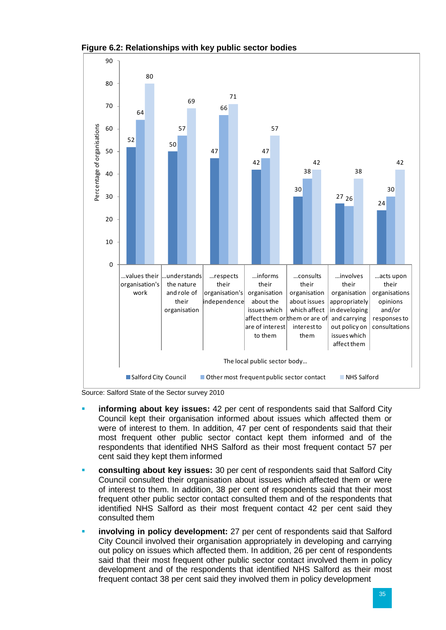

**Figure 6.2: Relationships with key public sector bodies**

Source: Salford State of the Sector survey 2010

- **informing about key issues:** 42 per cent of respondents said that Salford City Council kept their organisation informed about issues which affected them or were of interest to them. In addition, 47 per cent of respondents said that their most frequent other public sector contact kept them informed and of the respondents that identified NHS Salford as their most frequent contact 57 per cent said they kept them informed
- **consulting about key issues:** 30 per cent of respondents said that Salford City Council consulted their organisation about issues which affected them or were of interest to them. In addition, 38 per cent of respondents said that their most frequent other public sector contact consulted them and of the respondents that identified NHS Salford as their most frequent contact 42 per cent said they consulted them
- **involving in policy development:** 27 per cent of respondents said that Salford City Council involved their organisation appropriately in developing and carrying out policy on issues which affected them. In addition, 26 per cent of respondents said that their most frequent other public sector contact involved them in policy development and of the respondents that identified NHS Salford as their most frequent contact 38 per cent said they involved them in policy development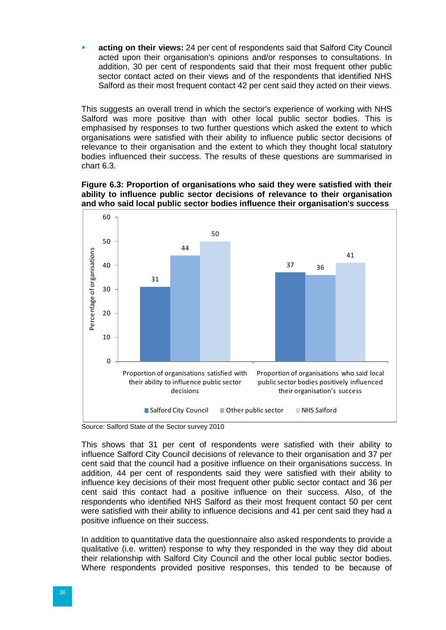**acting on their views:** 24 per cent of respondents said that Salford City Council acted upon their organisation's opinions and/or responses to consultations. In addition, 30 per cent of respondents said that their most frequent other public sector contact acted on their views and of the respondents that identified NHS Salford as their most frequent contact 42 per cent said they acted on their views.

This suggests an overall trend in which the sector's experience of working with NHS Salford was more positive than with other local public sector bodies. This is emphasised by responses to two further questions which asked the extent to which organisations were satisfied with their ability to influence public sector decisions of relevance to their organisation and the extent to which they thought local statutory bodies influenced their success. The results of these questions are summarised in chart 6.3.





Source: Salford State of the Sector survey 2010

This shows that 31 per cent of respondents were satisfied with their ability to influence Salford City Council decisions of relevance to their organisation and 37 per cent said that the council had a positive influence on their organisations success. In addition, 44 per cent of respondents said they were satisfied with their ability to influence key decisions of their most frequent other public sector contact and 36 per cent said this contact had a positive influence on their success. Also, of the respondents who identified NHS Salford as their most frequent contact 50 per cent were satisfied with their ability to influence decisions and 41 per cent said they had a positive influence on their success.

In addition to quantitative data the questionnaire also asked respondents to provide a qualitative (i.e. written) response to why they responded in the way they did about their relationship with Salford City Council and the other local public sector bodies. Where respondents provided positive responses, this tended to be because of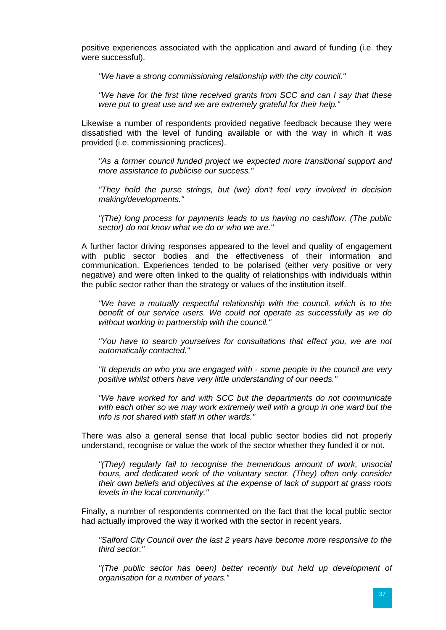positive experiences associated with the application and award of funding (i.e. they were successful).

*"We have a strong commissioning relationship with the city council."*

*"We have for the first time received grants from SCC and can I say that these were put to great use and we are extremely grateful for their help."*

Likewise a number of respondents provided negative feedback because they were dissatisfied with the level of funding available or with the way in which it was provided (i.e. commissioning practices).

*"As a former council funded project we expected more transitional support and more assistance to publicise our success."* 

*"They hold the purse strings, but (we) don't feel very involved in decision making/developments."*

*"(The) long process for payments leads to us having no cashflow. (The public sector) do not know what we do or who we are."* 

A further factor driving responses appeared to the level and quality of engagement with public sector bodies and the effectiveness of their information and communication. Experiences tended to be polarised (either very positive or very negative) and were often linked to the quality of relationships with individuals within the public sector rather than the strategy or values of the institution itself.

*"We have a mutually respectful relationship with the council, which is to the benefit of our service users. We could not operate as successfully as we do without working in partnership with the council."*

*"You have to search yourselves for consultations that effect you, we are not automatically contacted."*

*"It depends on who you are engaged with - some people in the council are very positive whilst others have very little understanding of our needs."* 

*"We have worked for and with SCC but the departments do not communicate with each other so we may work extremely well with a group in one ward but the info is not shared with staff in other wards."* 

There was also a general sense that local public sector bodies did not properly understand, recognise or value the work of the sector whether they funded it or not.

*"(They) regularly fail to recognise the tremendous amount of work, unsocial hours, and dedicated work of the voluntary sector. (They) often only consider their own beliefs and objectives at the expense of lack of support at grass roots levels in the local community."*

Finally, a number of respondents commented on the fact that the local public sector had actually improved the way it worked with the sector in recent years.

*"Salford City Council over the last 2 years have become more responsive to the third sector."*

*"(The public sector has been) better recently but held up development of organisation for a number of years."*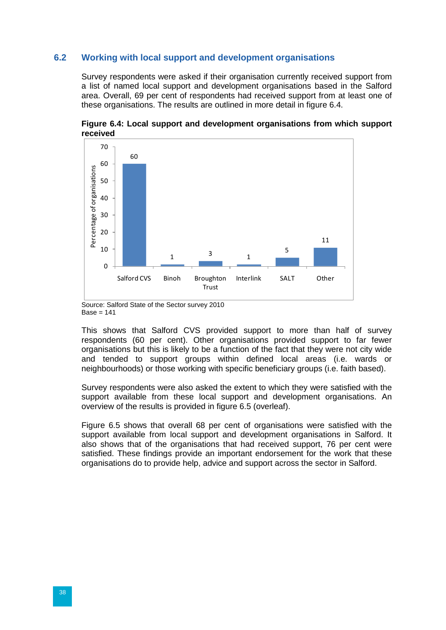## **6.2 Working with local support and development organisations**

Survey respondents were asked if their organisation currently received support from a list of named local support and development organisations based in the Salford area. Overall, 69 per cent of respondents had received support from at least one of these organisations. The results are outlined in more detail in figure 6.4.



**Figure 6.4: Local support and development organisations from which support received**

Source: Salford State of the Sector survey 2010  $Base = 141$ 

This shows that Salford CVS provided support to more than half of survey respondents (60 per cent). Other organisations provided support to far fewer organisations but this is likely to be a function of the fact that they were not city wide and tended to support groups within defined local areas (i.e. wards or neighbourhoods) or those working with specific beneficiary groups (i.e. faith based).

Survey respondents were also asked the extent to which they were satisfied with the support available from these local support and development organisations. An overview of the results is provided in figure 6.5 (overleaf).

Figure 6.5 shows that overall 68 per cent of organisations were satisfied with the support available from local support and development organisations in Salford. It also shows that of the organisations that had received support, 76 per cent were satisfied. These findings provide an important endorsement for the work that these organisations do to provide help, advice and support across the sector in Salford.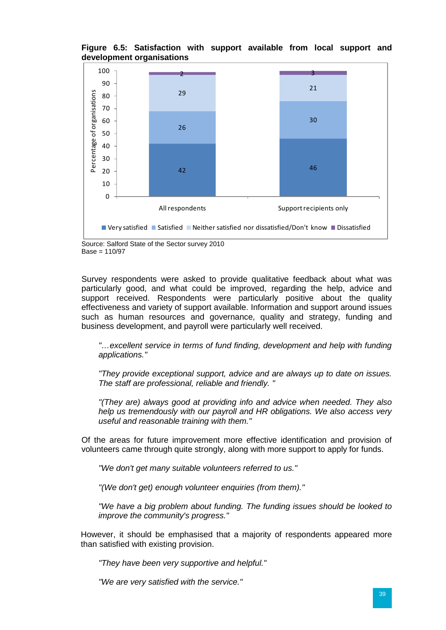**Figure 6.5: Satisfaction with support available from local support and development organisations**



Source: Salford State of the Sector survey 2010 Base = 110/97

Survey respondents were asked to provide qualitative feedback about what was particularly good, and what could be improved, regarding the help, advice and support received. Respondents were particularly positive about the quality effectiveness and variety of support available. Information and support around issues such as human resources and governance, quality and strategy, funding and business development, and payroll were particularly well received.

*"…excellent service in terms of fund finding, development and help with funding applications."*

*"They provide exceptional support, advice and are always up to date on issues. The staff are professional, reliable and friendly. "*

*"(They are) always good at providing info and advice when needed. They also help us tremendously with our payroll and HR obligations. We also access very useful and reasonable training with them."*

Of the areas for future improvement more effective identification and provision of volunteers came through quite strongly, along with more support to apply for funds.

*"We don't get many suitable volunteers referred to us."*

*"(We don't get) enough volunteer enquiries (from them)."*

*"We have a big problem about funding. The funding issues should be looked to improve the community's progress."*

However, it should be emphasised that a majority of respondents appeared more than satisfied with existing provision.

*"They have been very supportive and helpful."*

*"We are very satisfied with the service."*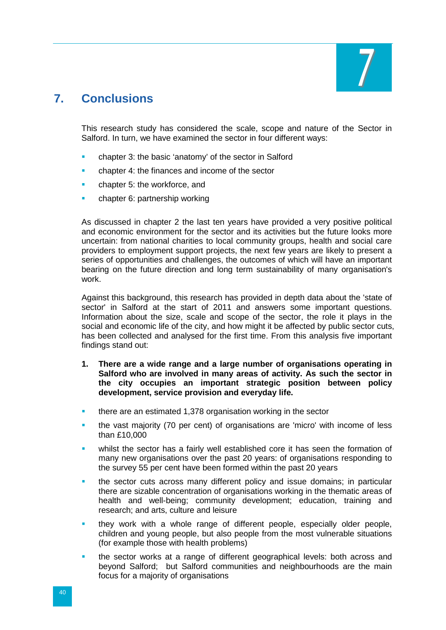

# <span id="page-44-0"></span>**7. Conclusions**

This research study has considered the scale, scope and nature of the Sector in Salford. In turn, we have examined the sector in four different ways:

- chapter 3: the basic 'anatomy' of the sector in Salford
- chapter 4: the finances and income of the sector
- chapter 5: the workforce, and
- chapter 6: partnership working

As discussed in chapter 2 the last ten years have provided a very positive political and economic environment for the sector and its activities but the future looks more uncertain: from national charities to local community groups, health and social care providers to employment support projects, the next few years are likely to present a series of opportunities and challenges, the outcomes of which will have an important bearing on the future direction and long term sustainability of many organisation's work.

Against this background, this research has provided in depth data about the 'state of sector' in Salford at the start of 2011 and answers some important questions. Information about the size, scale and scope of the sector, the role it plays in the social and economic life of the city, and how might it be affected by public sector cuts, has been collected and analysed for the first time. From this analysis five important findings stand out:

- **1. There are a wide range and a large number of organisations operating in Salford who are involved in many areas of activity. As such the sector in the city occupies an important strategic position between policy development, service provision and everyday life.**
- **there are an estimated 1,378 organisation working in the sector**
- the vast majority (70 per cent) of organisations are 'micro' with income of less than £10,000
- whilst the sector has a fairly well established core it has seen the formation of many new organisations over the past 20 years: of organisations responding to the survey 55 per cent have been formed within the past 20 years
- the sector cuts across many different policy and issue domains; in particular there are sizable concentration of organisations working in the thematic areas of health and well-being; community development; education, training and research; and arts, culture and leisure
- they work with a whole range of different people, especially older people, children and young people, but also people from the most vulnerable situations (for example those with health problems)
- the sector works at a range of different geographical levels: both across and beyond Salford; but Salford communities and neighbourhoods are the main focus for a majority of organisations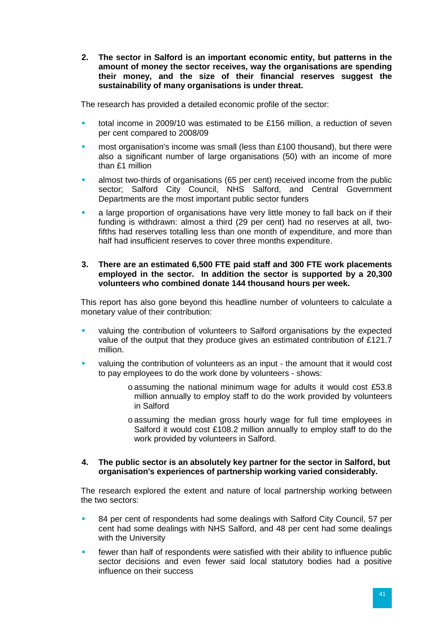**2. The sector in Salford is an important economic entity, but patterns in the amount of money the sector receives, way the organisations are spending their money, and the size of their financial reserves suggest the sustainability of many organisations is under threat.**

The research has provided a detailed economic profile of the sector:

- total income in 2009/10 was estimated to be £156 million, a reduction of seven per cent compared to 2008/09
- most organisation's income was small (less than £100 thousand), but there were also a significant number of large organisations (50) with an income of more than £1 million
- almost two-thirds of organisations (65 per cent) received income from the public sector; Salford City Council, NHS Salford, and Central Government Departments are the most important public sector funders
- a large proportion of organisations have very little money to fall back on if their funding is withdrawn: almost a third (29 per cent) had no reserves at all, twofifths had reserves totalling less than one month of expenditure, and more than half had insufficient reserves to cover three months expenditure.

#### **3. There are an estimated 6,500 FTE paid staff and 300 FTE work placements employed in the sector. In addition the sector is supported by a 20,300 volunteers who combined donate 144 thousand hours per week.**

This report has also gone beyond this headline number of volunteers to calculate a monetary value of their contribution:

- valuing the contribution of volunteers to Salford organisations by the expected value of the output that they produce gives an estimated contribution of £121.7 million.
- valuing the contribution of volunteers as an input the amount that it would cost to pay employees to do the work done by volunteers - shows:
	- o assuming the national minimum wage for adults it would cost £53.8 million annually to employ staff to do the work provided by volunteers in Salford
	- o assuming the median gross hourly wage for full time employees in Salford it would cost £108.2 million annually to employ staff to do the work provided by volunteers in Salford.

#### **4. The public sector is an absolutely key partner for the sector in Salford, but organisation's experiences of partnership working varied considerably.**

The research explored the extent and nature of local partnership working between the two sectors:

- 84 per cent of respondents had some dealings with Salford City Council, 57 per cent had some dealings with NHS Salford, and 48 per cent had some dealings with the University
- **Fuller** fewer than half of respondents were satisfied with their ability to influence public sector decisions and even fewer said local statutory bodies had a positive influence on their success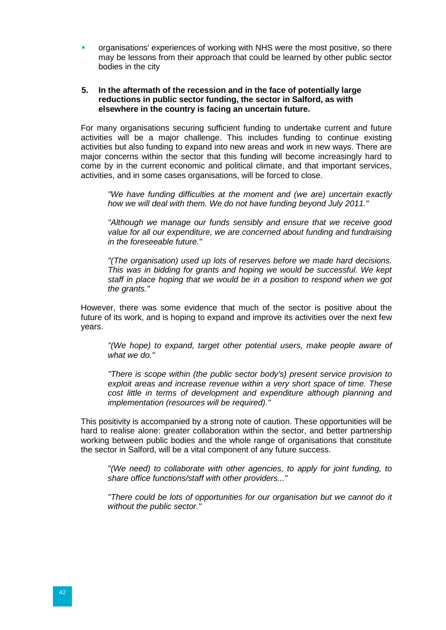organisations' experiences of working with NHS were the most positive, so there may be lessons from their approach that could be learned by other public sector bodies in the city

#### **5. In the aftermath of the recession and in the face of potentially large reductions in public sector funding, the sector in Salford, as with elsewhere in the country is facing an uncertain future.**

For many organisations securing sufficient funding to undertake current and future activities will be a major challenge. This includes funding to continue existing activities but also funding to expand into new areas and work in new ways. There are major concerns within the sector that this funding will become increasingly hard to come by in the current economic and political climate, and that important services, activities, and in some cases organisations, will be forced to close.

*"We have funding difficulties at the moment and (we are) uncertain exactly how we will deal with them. We do not have funding beyond July 2011."*

*"Although we manage our funds sensibly and ensure that we receive good value for all our expenditure, we are concerned about funding and fundraising in the foreseeable future."*

*"(The organisation) used up lots of reserves before we made hard decisions. This was in bidding for grants and hoping we would be successful. We kept staff in place hoping that we would be in a position to respond when we got the grants."*

However, there was some evidence that much of the sector is positive about the future of its work, and is hoping to expand and improve its activities over the next few years.

*"(We hope) to expand, target other potential users, make people aware of what we do."* 

*"There is scope within (the public sector body's) present service provision to exploit areas and increase revenue within a very short space of time. These cost little in terms of development and expenditure although planning and implementation (resources will be required)."*

This positivity is accompanied by a strong note of caution. These opportunities will be hard to realise alone: greater collaboration within the sector, and better partnership working between public bodies and the whole range of organisations that constitute the sector in Salford, will be a vital component of any future success.

*"(We need) to collaborate with other agencies, to apply for joint funding, to share office functions/staff with other providers..."*

*"There could be lots of opportunities for our organisation but we cannot do it without the public sector."*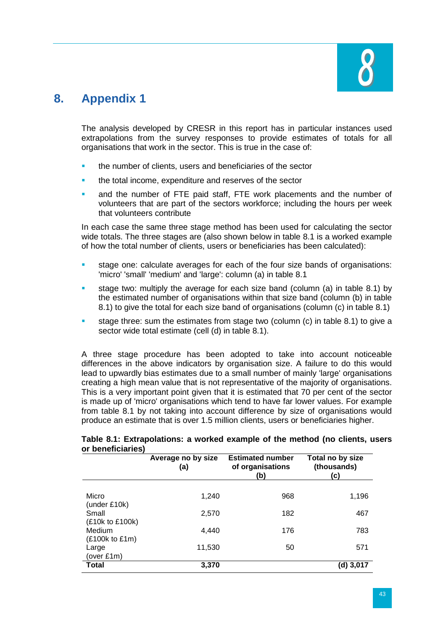

# <span id="page-47-0"></span>**8. Appendix 1**

The analysis developed by CRESR in this report has in particular instances used extrapolations from the survey responses to provide estimates of totals for all organisations that work in the sector. This is true in the case of:

- the number of clients, users and beneficiaries of the sector
- the total income, expenditure and reserves of the sector
- and the number of FTE paid staff, FTE work placements and the number of volunteers that are part of the sectors workforce; including the hours per week that volunteers contribute

In each case the same three stage method has been used for calculating the sector wide totals. The three stages are (also shown below in table 8.1 is a worked example of how the total number of clients, users or beneficiaries has been calculated):

- stage one: calculate averages for each of the four size bands of organisations: 'micro' 'small' 'medium' and 'large': column (a) in table 8.1
- stage two: multiply the average for each size band (column (a) in table 8.1) by the estimated number of organisations within that size band (column (b) in table 8.1) to give the total for each size band of organisations (column (c) in table 8.1)
- stage three: sum the estimates from stage two (column (c) in table 8.1) to give a sector wide total estimate (cell (d) in table 8.1).

A three stage procedure has been adopted to take into account noticeable differences in the above indicators by organisation size. A failure to do this would lead to upwardly bias estimates due to a small number of mainly 'large' organisations creating a high mean value that is not representative of the majority of organisations. This is a very important point given that it is estimated that 70 per cent of the sector is made up of 'micro' organisations which tend to have far lower values. For example from table 8.1 by not taking into account difference by size of organisations would produce an estimate that is over 1.5 million clients, users or beneficiaries higher.

|                                       | Average no by size<br>(a) | <b>Estimated number</b><br>of organisations<br>(b) | Total no by size<br>(thousands)<br>(c) |
|---------------------------------------|---------------------------|----------------------------------------------------|----------------------------------------|
| Micro<br>(under £10k)                 | 1.240                     | 968                                                | 1,196                                  |
| Small                                 | 2,570                     | 182                                                | 467                                    |
| (£10k to £100k)<br>Medium             | 4.440                     | 176                                                | 783                                    |
| (£100k to £1m)<br>Large<br>(over £1m) | 11,530                    | 50                                                 | 571                                    |
| <b>Total</b>                          | 3,370                     |                                                    | (d) 3,017                              |

#### **Table 8.1: Extrapolations: a worked example of the method (no clients, users or beneficiaries)**